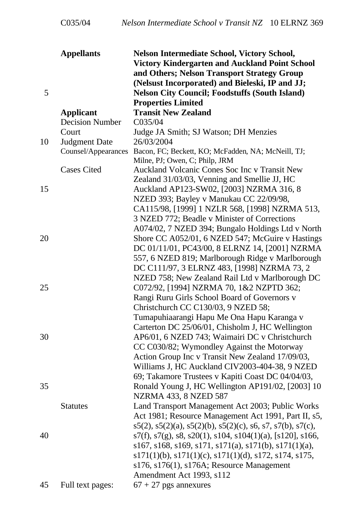| 5                   | <b>Appellants</b>                          | Nelson Intermediate School, Victory School,<br>Victory Kindergarten and Auckland Point School<br>and Others; Nelson Transport Strategy Group<br>(Nelsust Incorporated) and Bieleski, IP and JJ;<br><b>Nelson City Council; Foodstuffs (South Island)</b><br><b>Properties Limited</b> |
|---------------------|--------------------------------------------|---------------------------------------------------------------------------------------------------------------------------------------------------------------------------------------------------------------------------------------------------------------------------------------|
|                     | <b>Applicant</b><br><b>Decision Number</b> | <b>Transit New Zealand</b><br>C035/04                                                                                                                                                                                                                                                 |
|                     | Court                                      | Judge JA Smith; SJ Watson; DH Menzies                                                                                                                                                                                                                                                 |
| Judgment Date<br>10 |                                            | 26/03/2004                                                                                                                                                                                                                                                                            |
|                     | Counsel/Appearances                        | Bacon, FC; Beckett, KO; McFadden, NA; McNeill, TJ;<br>Milne, PJ; Owen, C; Philp, JRM                                                                                                                                                                                                  |
|                     | <b>Cases Cited</b>                         | Auckland Volcanic Cones Soc Inc v Transit New                                                                                                                                                                                                                                         |
|                     |                                            | Zealand 31/03/03, Venning and Smellie JJ, HC                                                                                                                                                                                                                                          |
| 15                  |                                            | Auckland AP123-SW02, [2003] NZRMA 316, 8                                                                                                                                                                                                                                              |
|                     |                                            | NZED 393; Bayley v Manukau CC 22/09/98,                                                                                                                                                                                                                                               |
|                     |                                            | CA115/98, [1999] 1 NZLR 568, [1998] NZRMA 513,                                                                                                                                                                                                                                        |
|                     |                                            | 3 NZED 772; Beadle v Minister of Corrections                                                                                                                                                                                                                                          |
|                     |                                            | A074/02, 7 NZED 394; Bungalo Holdings Ltd v North                                                                                                                                                                                                                                     |
| 20                  |                                            | Shore CC A052/01, 6 NZED 547; McGuire v Hastings                                                                                                                                                                                                                                      |
|                     |                                            | DC 01/11/01, PC43/00, 8 ELRNZ 14, [2001] NZRMA                                                                                                                                                                                                                                        |
|                     |                                            | 557, 6 NZED 819; Marlborough Ridge v Marlborough                                                                                                                                                                                                                                      |
|                     |                                            | DC C111/97, 3 ELRNZ 483, [1998] NZRMA 73, 2                                                                                                                                                                                                                                           |
|                     |                                            | NZED 758; New Zealand Rail Ltd v Marlborough DC                                                                                                                                                                                                                                       |
| 25                  |                                            | C072/92, [1994] NZRMA 70, 1&2 NZPTD 362;                                                                                                                                                                                                                                              |
|                     |                                            | Rangi Ruru Girls School Board of Governors v                                                                                                                                                                                                                                          |
|                     |                                            | Christchurch CC C130/03, 9 NZED 58;                                                                                                                                                                                                                                                   |
|                     |                                            | Tumapuhiaarangi Hapu Me Ona Hapu Karanga v                                                                                                                                                                                                                                            |
|                     |                                            | Carterton DC 25/06/01, Chisholm J, HC Wellington                                                                                                                                                                                                                                      |
| 30                  |                                            | AP6/01, 6 NZED 743; Waimairi DC v Christchurch                                                                                                                                                                                                                                        |
|                     |                                            | CC C030/82; Wymondley Against the Motorway                                                                                                                                                                                                                                            |
|                     |                                            | Action Group Inc v Transit New Zealand 17/09/03,                                                                                                                                                                                                                                      |
|                     |                                            | Williams J, HC Auckland CIV2003-404-38, 9 NZED                                                                                                                                                                                                                                        |
|                     |                                            | 69; Takamore Trustees v Kapiti Coast DC 04/04/03,                                                                                                                                                                                                                                     |
| 35                  |                                            | Ronald Young J, HC Wellington AP191/02, [2003] 10                                                                                                                                                                                                                                     |
|                     |                                            | NZRMA 433, 8 NZED 587                                                                                                                                                                                                                                                                 |
|                     | <b>Statutes</b>                            | Land Transport Management Act 2003; Public Works                                                                                                                                                                                                                                      |
|                     |                                            | Act 1981; Resource Management Act 1991, Part II, s5,                                                                                                                                                                                                                                  |
|                     |                                            | $s5(2), s5(2)(a), s5(2)(b), s5(2)(c), s6, s7, s7(b), s7(c),$                                                                                                                                                                                                                          |
| 40                  |                                            | $s7(f), s7(g), s8, s20(1), s104, s104(1)(a), [s120], s166,$                                                                                                                                                                                                                           |
|                     |                                            | $s167, s168, s169, s171, s171(a), s171(b), s171(1)(a),$                                                                                                                                                                                                                               |
|                     |                                            | $s171(1)(b)$ , $s171(1)(c)$ , $s171(1)(d)$ , $s172$ , $s174$ , $s175$ ,                                                                                                                                                                                                               |
|                     |                                            | s176, s176(1), s176A; Resource Management                                                                                                                                                                                                                                             |
|                     |                                            | Amendment Act 1993, s112                                                                                                                                                                                                                                                              |
| 45                  | Full text pages:                           | $67 + 27$ pgs annexures                                                                                                                                                                                                                                                               |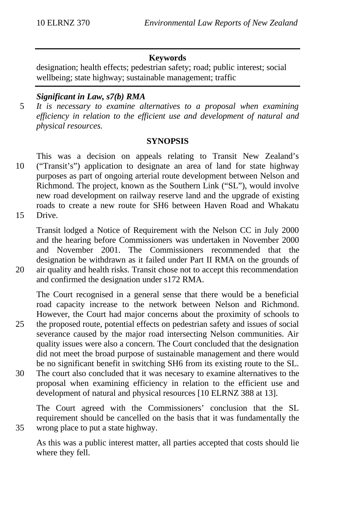#### **Keywords**

designation; health effects; pedestrian safety; road; public interest; social wellbeing; state highway; sustainable management; traffic

#### *Significant in Law, s7(b) RMA*

5 *It is necessary to examine alternatives to a proposal when examining efficiency in relation to the efficient use and development of natural and physical resources.*

#### **SYNOPSIS**

- This was a decision on appeals relating to Transit New Zealand's 10 ("Transit's") application to designate an area of land for state highway purposes as part of ongoing arterial route development between Nelson and Richmond. The project, known as the Southern Link ("SL"), would involve new road development on railway reserve land and the upgrade of existing roads to create a new route for SH6 between Haven Road and Whakatu 15 Drive.
- 

Transit lodged a Notice of Requirement with the Nelson CC in July 2000 and the hearing before Commissioners was undertaken in November 2000 and November 2001. The Commissioners recommended that the designation be withdrawn as it failed under Part II RMA on the grounds of 20 air quality and health risks. Transit chose not to accept this recommendation and confirmed the designation under s172 RMA.

The Court recognised in a general sense that there would be a beneficial road capacity increase to the network between Nelson and Richmond. However, the Court had major concerns about the proximity of schools to 25 the proposed route, potential effects on pedestrian safety and issues of social

- severance caused by the major road intersecting Nelson communities. Air quality issues were also a concern. The Court concluded that the designation did not meet the broad purpose of sustainable management and there would be no significant benefit in switching SH6 from its existing route to the SL.
- 30 The court also concluded that it was necesary to examine alternatives to the proposal when examining efficiency in relation to the efficient use and development of natural and physical resources [10 ELRNZ 388 at 13].

The Court agreed with the Commissioners' conclusion that the SL requirement should be cancelled on the basis that it was fundamentally the 35 wrong place to put a state highway.

As this was a public interest matter, all parties accepted that costs should lie where they fell.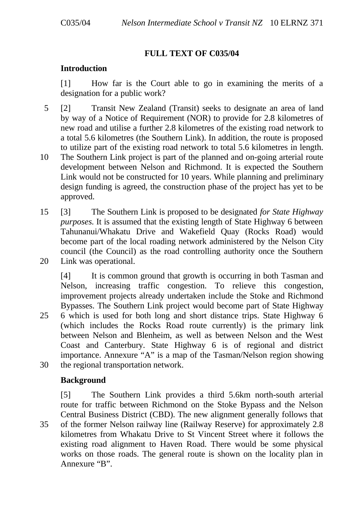## **FULL TEXT OF C035/04**

#### **Introduction**

[1] How far is the Court able to go in examining the merits of a designation for a public work?

- 5 [2] Transit New Zealand (Transit) seeks to designate an area of land by way of a Notice of Requirement (NOR) to provide for 2.8 kilometres of new road and utilise a further 2.8 kilometres of the existing road network to a total 5.6 kilometres (the Southern Link). In addition, the route is proposed to utilize part of the existing road network to total 5.6 kilometres in length.
- 10 The Southern Link project is part of the planned and on-going arterial route development between Nelson and Richmond. It is expected the Southern Link would not be constructed for 10 years. While planning and preliminary design funding is agreed, the construction phase of the project has yet to be approved.
- 15 [3] The Southern Link is proposed to be designated *for State Highway purposes*. It is assumed that the existing length of State Highway 6 between Tahunanui/Whakatu Drive and Wakefield Quay (Rocks Road) would become part of the local roading network administered by the Nelson City council (the Council) as the road controlling authority once the Southern 20 Link was operational.
- [4] It is common ground that growth is occurring in both Tasman and Nelson, increasing traffic congestion. To relieve this congestion, improvement projects already undertaken include the Stoke and Richmond Bypasses. The Southern Link project would become part of State Highway 25 6 which is used for both long and short distance trips. State Highway 6 (which includes the Rocks Road route currently) is the primary link between Nelson and Blenheim, as well as between Nelson and the West Coast and Canterbury. State Highway 6 is of regional and district importance. Annexure "A" is a map of the Tasman/Nelson region showing
- 30 the regional transportation network.

## **Background**

[5] The Southern Link provides a third 5.6km north-south arterial route for traffic between Richmond on the Stoke Bypass and the Nelson Central Business District (CBD). The new alignment generally follows that 35 of the former Nelson railway line (Railway Reserve) for approximately 2.8 kilometres from Whakatu Drive to St Vincent Street where it follows the existing road alignment to Haven Road. There would be some physical works on those roads. The general route is shown on the locality plan in Annexure "B".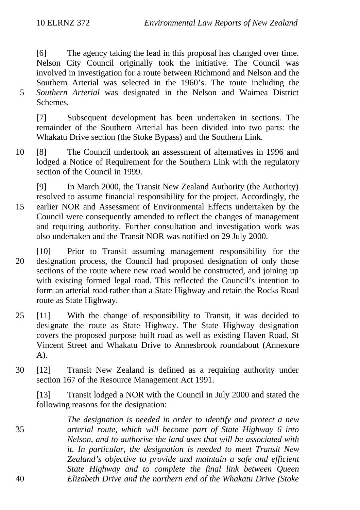[6] The agency taking the lead in this proposal has changed over time. Nelson City Council originally took the initiative. The Council was involved in investigation for a route between Richmond and Nelson and the Southern Arterial was selected in the 1960's. The route including the 5 *Southern Arterial* was designated in the Nelson and Waimea District Schemes.

[7] Subsequent development has been undertaken in sections. The remainder of the Southern Arterial has been divided into two parts: the Whakatu Drive section (the Stoke Bypass) and the Southern Link.

10 [8] The Council undertook an assessment of alternatives in 1996 and lodged a Notice of Requirement for the Southern Link with the regulatory section of the Council in 1999.

[9] In March 2000, the Transit New Zealand Authority (the Authority) resolved to assume financial responsibility for the project. Accordingly, the 15 earlier NOR and Assessment of Environmental Effects undertaken by the Council were consequently amended to reflect the changes of management and requiring authority. Further consultation and investigation work was also undertaken and the Transit NOR was notified on 29 July 2000.

- [10] Prior to Transit assuming management responsibility for the 20 designation process, the Council had proposed designation of only those sections of the route where new road would be constructed, and joining up with existing formed legal road. This reflected the Council's intention to form an arterial road rather than a State Highway and retain the Rocks Road route as State Highway.
- 25 [11] With the change of responsibility to Transit, it was decided to designate the route as State Highway. The State Highway designation covers the proposed purpose built road as well as existing Haven Road, St Vincent Street and Whakatu Drive to Annesbrook roundabout (Annexure A).
- 30 [12] Transit New Zealand is defined as a requiring authority under section 167 of the Resource Management Act 1991.

[13] Transit lodged a NOR with the Council in July 2000 and stated the following reasons for the designation:

*The designation is needed in order to identify and protect a new* 35 *arterial route, which will become part of State Highway 6 into Nelson, and to authorise the land uses that will be associated with it. In particular, the designation is needed to meet Transit New Zealand's objective to provide and maintain a safe and efficient State Highway and to complete the final link between Queen* 40 *Elizabeth Drive and the northern end of the Whakatu Drive (Stoke*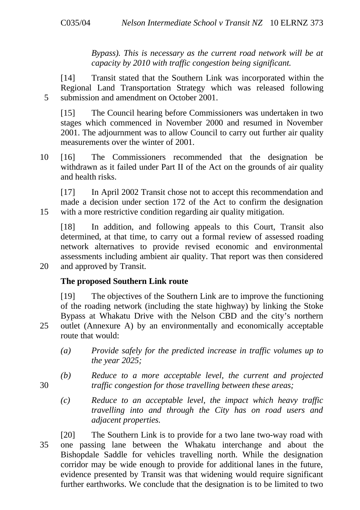*Bypass). This is necessary as the current road network will be at capacity by 2010 with traffic congestion being significant.*

[14] Transit stated that the Southern Link was incorporated within the Regional Land Transportation Strategy which was released following 5 submission and amendment on October 2001.

[15] The Council hearing before Commissioners was undertaken in two stages which commenced in November 2000 and resumed in November 2001. The adjournment was to allow Council to carry out further air quality measurements over the winter of 2001.

10 [16] The Commissioners recommended that the designation be withdrawn as it failed under Part II of the Act on the grounds of air quality and health risks.

[17] In April 2002 Transit chose not to accept this recommendation and made a decision under section 172 of the Act to confirm the designation 15 with a more restrictive condition regarding air quality mitigation.

[18] In addition, and following appeals to this Court, Transit also determined, at that time, to carry out a formal review of assessed roading network alternatives to provide revised economic and environmental assessments including ambient air quality. That report was then considered 20 and approved by Transit.

## **The proposed Southern Link route**

[19] The objectives of the Southern Link are to improve the functioning of the roading network (including the state highway) by linking the Stoke Bypass at Whakatu Drive with the Nelson CBD and the city's northern 25 outlet (Annexure A) by an environmentally and economically acceptable route that would:

- *(a) Provide safely for the predicted increase in traffic volumes up to the year 2025;*
- *(b) Reduce to a more acceptable level, the current and projected* 30 *traffic congestion for those travelling between these areas;*
	- *(c) Reduce to an acceptable level, the impact which heavy traffic travelling into and through the City has on road users and adjacent properties.*
- [20] The Southern Link is to provide for a two lane two-way road with 35 one passing lane between the Whakatu interchange and about the Bishopdale Saddle for vehicles travelling north. While the designation corridor may be wide enough to provide for additional lanes in the future, evidence presented by Transit was that widening would require significant further earthworks. We conclude that the designation is to be limited to two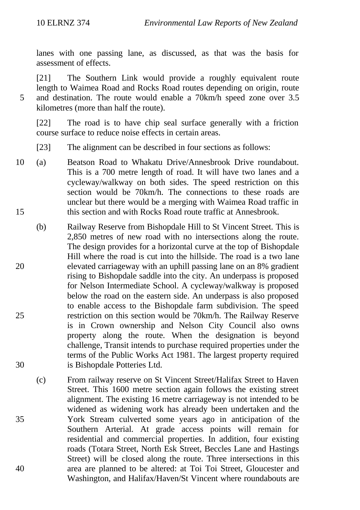lanes with one passing lane, as discussed, as that was the basis for assessment of effects.

[21] The Southern Link would provide a roughly equivalent route length to Waimea Road and Rocks Road routes depending on origin, route 5 and destination. The route would enable a 70km/h speed zone over 3.5 kilometres (more than half the route).

[22] The road is to have chip seal surface generally with a friction course surface to reduce noise effects in certain areas.

- [23] The alignment can be described in four sections as follows:
- 10 (a) Beatson Road to Whakatu Drive/Annesbrook Drive roundabout. This is a 700 metre length of road. It will have two lanes and a cycleway/walkway on both sides. The speed restriction on this section would be 70km/h. The connections to these roads are unclear but there would be a merging with Waimea Road traffic in 15 this section and with Rocks Road route traffic at Annesbrook.
- (b) Railway Reserve from Bishopdale Hill to St Vincent Street. This is 2,850 metres of new road with no intersections along the route. The design provides for a horizontal curve at the top of Bishopdale Hill where the road is cut into the hillside. The road is a two lane 20 elevated carriageway with an uphill passing lane on an 8% gradient rising to Bishopdale saddle into the city. An underpass is proposed for Nelson Intermediate School. A cycleway/walkway is proposed below the road on the eastern side. An underpass is also proposed to enable access to the Bishopdale farm subdivision. The speed 25 restriction on this section would be 70km/h. The Railway Reserve is in Crown ownership and Nelson City Council also owns property along the route. When the designation is beyond challenge, Transit intends to purchase required properties under the terms of the Public Works Act 1981. The largest property required 30 is Bishopdale Potteries Ltd.
- (c) From railway reserve on St Vincent Street/Halifax Street to Haven Street. This 1600 metre section again follows the existing street alignment. The existing 16 metre carriageway is not intended to be widened as widening work has already been undertaken and the 35 York Stream culverted some years ago in anticipation of the Southern Arterial. At grade access points will remain for residential and commercial properties. In addition, four existing roads (Totara Street, North Esk Street, Beccles Lane and Hastings Street) will be closed along the route. Three intersections in this 40 area are planned to be altered: at Toi Toi Street, Gloucester and Washington, and Halifax/Haven/St Vincent where roundabouts are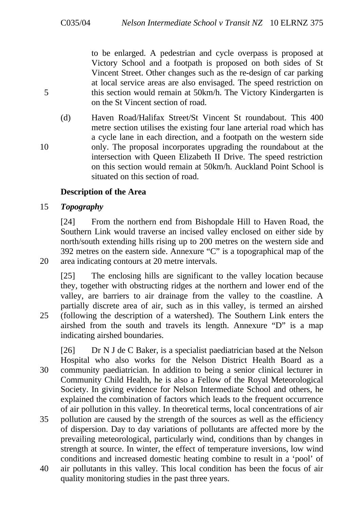to be enlarged. A pedestrian and cycle overpass is proposed at Victory School and a footpath is proposed on both sides of St Vincent Street. Other changes such as the re-design of car parking at local service areas are also envisaged. The speed restriction on 5 this section would remain at 50km/h. The Victory Kindergarten is on the St Vincent section of road.

(d) Haven Road/Halifax Street/St Vincent St roundabout. This 400 metre section utilises the existing four lane arterial road which has a cycle lane in each direction, and a footpath on the western side 10 only. The proposal incorporates upgrading the roundabout at the intersection with Queen Elizabeth II Drive. The speed restriction on this section would remain at 50km/h. Auckland Point School is situated on this section of road.

#### **Description of the Area**

#### 15 *Topography*

[24] From the northern end from Bishopdale Hill to Haven Road, the Southern Link would traverse an incised valley enclosed on either side by north/south extending hills rising up to 200 metres on the western side and 392 metres on the eastern side. Annexure "C" is a topographical map of the 20 area indicating contours at 20 metre intervals.

[25] The enclosing hills are significant to the valley location because they, together with obstructing ridges at the northern and lower end of the valley, are barriers to air drainage from the valley to the coastline. A partially discrete area of air, such as in this valley, is termed an airshed 25 (following the description of a watershed). The Southern Link enters the airshed from the south and travels its length. Annexure "D" is a map indicating airshed boundaries.

[26] Dr N J de C Baker, is a specialist paediatrician based at the Nelson Hospital who also works for the Nelson District Health Board as a 30 community paediatrician. In addition to being a senior clinical lecturer in Community Child Health, he is also a Fellow of the Royal Meteorological Society. In giving evidence for Nelson Intermediate School and others, he explained the combination of factors which leads to the frequent occurrence of air pollution in this valley. In theoretical terms, local concentrations of air 35 pollution are caused by the strength of the sources as well as the efficiency of dispersion. Day to day variations of pollutants are affected more by the prevailing meteorological, particularly wind, conditions than by changes in

strength at source. In winter, the effect of temperature inversions, low wind conditions and increased domestic heating combine to result in a 'pool' of 40 air pollutants in this valley. This local condition has been the focus of air quality monitoring studies in the past three years.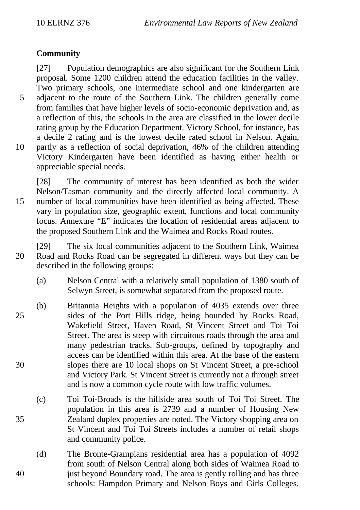## **Community**

[27] Population demographics are also significant for the Southern Link proposal. Some 1200 children attend the education facilities in the valley. Two primary schools, one intermediate school and one kindergarten are 5 adjacent to the route of the Southern Link. The children generally come from families that have higher levels of socio-economic deprivation and, as a reflection of this, the schools in the area are classified in the lower decile rating group by the Education Department. Victory School, for instance, has a decile 2 rating and is the lowest decile rated school in Nelson. Again, 10 partly as a reflection of social deprivation, 46% of the children attending Victory Kindergarten have been identified as having either health or appreciable special needs.

[28] The community of interest has been identified as both the wider Nelson/Tasman community and the directly affected local community. A 15 number of local communities have been identified as being affected. These vary in population size, geographic extent, functions and local community focus. Annexure "E" indicates the location of residential areas adjacent to the proposed Southern Link and the Waimea and Rocks Road routes.

[29] The six local communities adjacent to the Southern Link, Waimea 20 Road and Rocks Road can be segregated in different ways but they can be described in the following groups:

- (a) Nelson Central with a relatively small population of 1380 south of Selwyn Street, is somewhat separated from the proposed route.
- (b) Britannia Heights with a population of 4035 extends over three 25 sides of the Port Hills ridge, being bounded by Rocks Road, Wakefield Street, Haven Road, St Vincent Street and Toi Toi Street. The area is steep with circuitous roads through the area and many pedestrian tracks. Sub-groups, defined by topography and access can be identified within this area. At the base of the eastern 30 slopes there are 10 local shops on St Vincent Street, a pre-school and Victory Park. St Vincent Street is currently not a through street and is now a common cycle route with low traffic volumes.
- (c) Toi Toi-Broads is the hillside area south of Toi Toi Street. The population in this area is 2739 and a number of Housing New 35 Zealand duplex properties are noted. The Victory shopping area on St Vincent and Toi Toi Streets includes a number of retail shops and community police.
- (d) The Bronte-Grampians residential area has a population of 4092 from south of Nelson Central along both sides of Waimea Road to 40 just beyond Boundary road. The area is gently rolling and has three schools: Hampdon Primary and Nelson Boys and Girls Colleges.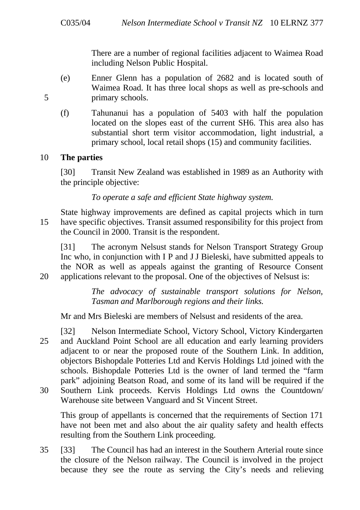There are a number of regional facilities adjacent to Waimea Road including Nelson Public Hospital.

- (e) Enner Glenn has a population of 2682 and is located south of Waimea Road. It has three local shops as well as pre-schools and 5 primary schools.
	- (f) Tahunanui has a population of 5403 with half the population located on the slopes east of the current SH6. This area also has substantial short term visitor accommodation, light industrial, a primary school, local retail shops (15) and community facilities.

#### 10 **The parties**

[30] Transit New Zealand was established in 1989 as an Authority with the principle objective:

*To operate a safe and efficient State highway system.*

State highway improvements are defined as capital projects which in turn 15 have specific objectives. Transit assumed responsibility for this project from the Council in 2000. Transit is the respondent.

[31] The acronym Nelsust stands for Nelson Transport Strategy Group Inc who, in conjunction with I P and J J Bieleski, have submitted appeals to the NOR as well as appeals against the granting of Resource Consent 20 applications relevant to the proposal. One of the objectives of Nelsust is:

> *The advocacy of sustainable transport solutions for Nelson, Tasman and Marlborough regions and their links.*

Mr and Mrs Bieleski are members of Nelsust and residents of the area.

[32] Nelson Intermediate School, Victory School, Victory Kindergarten 25 and Auckland Point School are all education and early learning providers adjacent to or near the proposed route of the Southern Link. In addition, objectors Bishopdale Potteries Ltd and Kervis Holdings Ltd joined with the schools. Bishopdale Potteries Ltd is the owner of land termed the "farm park" adjoining Beatson Road, and some of its land will be required if the

30 Southern Link proceeds. Kervis Holdings Ltd owns the Countdown/ Warehouse site between Vanguard and St Vincent Street.

This group of appellants is concerned that the requirements of Section 171 have not been met and also about the air quality safety and health effects resulting from the Southern Link proceeding.

35 [33] The Council has had an interest in the Southern Arterial route since the closure of the Nelson railway. The Council is involved in the project because they see the route as serving the City's needs and relieving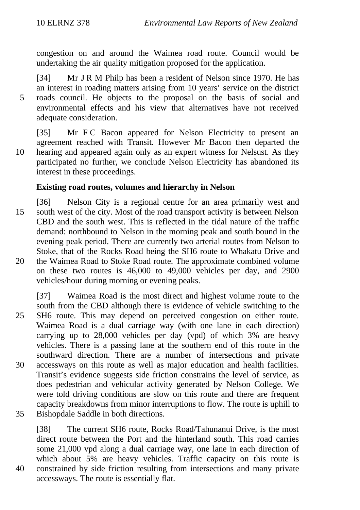congestion on and around the Waimea road route. Council would be undertaking the air quality mitigation proposed for the application.

[34] Mr J R M Philp has been a resident of Nelson since 1970. He has an interest in roading matters arising from 10 years' service on the district 5 roads council. He objects to the proposal on the basis of social and environmental effects and his view that alternatives have not received adequate consideration.

[35] Mr F C Bacon appeared for Nelson Electricity to present an agreement reached with Transit. However Mr Bacon then departed the 10 hearing and appeared again only as an expert witness for Nelsust. As they participated no further, we conclude Nelson Electricity has abandoned its interest in these proceedings.

## **Existing road routes, volumes and hierarchy in Nelson**

[36] Nelson City is a regional centre for an area primarily west and 15 south west of the city. Most of the road transport activity is between Nelson CBD and the south west. This is reflected in the tidal nature of the traffic demand: northbound to Nelson in the morning peak and south bound in the evening peak period. There are currently two arterial routes from Nelson to Stoke, that of the Rocks Road being the SH6 route to Whakatu Drive and 20 the Waimea Road to Stoke Road route. The approximate combined volume on these two routes is 46,000 to 49,000 vehicles per day, and 2900

vehicles/hour during morning or evening peaks.

- [37] Waimea Road is the most direct and highest volume route to the south from the CBD although there is evidence of vehicle switching to the 25 SH6 route. This may depend on perceived congestion on either route. Waimea Road is a dual carriage way (with one lane in each direction) carrying up to 28,000 vehicles per day (vpd) of which 3% are heavy vehicles. There is a passing lane at the southern end of this route in the southward direction. There are a number of intersections and private 30 accessways on this route as well as major education and health facilities. Transit's evidence suggests side friction constrains the level of service, as does pedestrian and vehicular activity generated by Nelson College. We were told driving conditions are slow on this route and there are frequent capacity breakdowns from minor interruptions to flow. The route is uphill to 35 Bishopdale Saddle in both directions.
- [38] The current SH6 route, Rocks Road/Tahunanui Drive, is the most direct route between the Port and the hinterland south. This road carries some 21,000 vpd along a dual carriage way, one lane in each direction of which about 5% are heavy vehicles. Traffic capacity on this route is 40 constrained by side friction resulting from intersections and many private accessways. The route is essentially flat.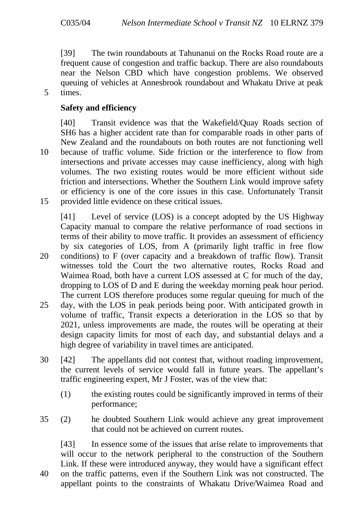[39] The twin roundabouts at Tahunanui on the Rocks Road route are a frequent cause of congestion and traffic backup. There are also roundabouts near the Nelson CBD which have congestion problems. We observed queuing of vehicles at Annesbrook roundabout and Whakatu Drive at peak 5 times.

#### **Safety and efficiency**

[40] Transit evidence was that the Wakefield/Quay Roads section of SH6 has a higher accident rate than for comparable roads in other parts of New Zealand and the roundabouts on both routes are not functioning well 10 because of traffic volume. Side friction or the interference to flow from intersections and private accesses may cause inefficiency, along with high volumes. The two existing routes would be more efficient without side friction and intersections. Whether the Southern Link would improve safety or efficiency is one of the core issues in this case. Unfortunately Transit 15 provided little evidence on these critical issues.

[41] Level of service (LOS) is a concept adopted by the US Highway Capacity manual to compare the relative performance of road sections in terms of their ability to move traffic. It provides an assessment of efficiency by six categories of LOS, from A (primarily light traffic in free flow 20 conditions) to F (over capacity and a breakdown of traffic flow). Transit witnesses told the Court the two alternative routes, Rocks Road and Waimea Road, both have a current LOS assessed at C for much of the day, dropping to LOS of D and E during the weekday morning peak hour period. The current LOS therefore produces some regular queuing for much of the

- 25 day, with the LOS in peak periods being poor. With anticipated growth in volume of traffic, Transit expects a deterioration in the LOS so that by 2021, unless improvements are made, the routes will be operating at their design capacity limits for most of each day, and substantial delays and a high degree of variability in travel times are anticipated.
- 30 [42] The appellants did not contest that, without roading improvement, the current levels of service would fall in future years. The appellant's traffic engineering expert, Mr J Foster, was of the view that:
	- (1) the existing routes could be significantly improved in terms of their performance;
- 35 (2) he doubted Southern Link would achieve any great improvement that could not be achieved on current routes.

[43] In essence some of the issues that arise relate to improvements that will occur to the network peripheral to the construction of the Southern Link. If these were introduced anyway, they would have a significant effect

40 on the traffic patterns, even if the Southern Link was not constructed. The appellant points to the constraints of Whakatu Drive/Waimea Road and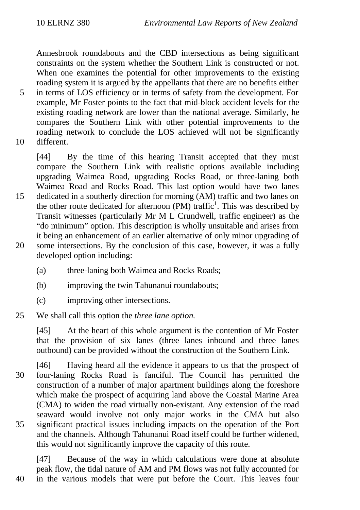Annesbrook roundabouts and the CBD intersections as being significant constraints on the system whether the Southern Link is constructed or not. When one examines the potential for other improvements to the existing roading system it is argued by the appellants that there are no benefits either

- 5 in terms of LOS efficiency or in terms of safety from the development. For example, Mr Foster points to the fact that mid-block accident levels for the existing roading network are lower than the national average. Similarly, he compares the Southern Link with other potential improvements to the roading network to conclude the LOS achieved will not be significantly 10 different.
- 

[44] By the time of this hearing Transit accepted that they must compare the Southern Link with realistic options available including upgrading Waimea Road, upgrading Rocks Road, or three-laning both Waimea Road and Rocks Road. This last option would have two lanes 15 dedicated in a southerly direction for morning (AM) traffic and two lanes on the other route dedicated for afternoon  $(PM)$  traffic<sup>1</sup>. This was described by Transit witnesses (particularly Mr M L Crundwell, traffic engineer) as the "do minimum" option. This description is wholly unsuitable and arises from it being an enhancement of an earlier alternative of only minor upgrading of 20 some intersections. By the conclusion of this case, however, it was a fully developed option including:

- (a) three-laning both Waimea and Rocks Roads;
- (b) improving the twin Tahunanui roundabouts;
- (c) improving other intersections.

## 25 We shall call this option the *three lane option.*

[45] At the heart of this whole argument is the contention of Mr Foster that the provision of six lanes (three lanes inbound and three lanes outbound) can be provided without the construction of the Southern Link.

[46] Having heard all the evidence it appears to us that the prospect of 30 four-laning Rocks Road is fanciful. The Council has permitted the construction of a number of major apartment buildings along the foreshore which make the prospect of acquiring land above the Coastal Marine Area (CMA) to widen the road virtually non-existant. Any extension of the road seaward would involve not only major works in the CMA but also 35 significant practical issues including impacts on the operation of the Port and the channels. Although Tahunanui Road itself could be further widened, this would not significantly improve the capacity of this route.

[47] Because of the way in which calculations were done at absolute peak flow, the tidal nature of AM and PM flows was not fully accounted for 40 in the various models that were put before the Court. This leaves four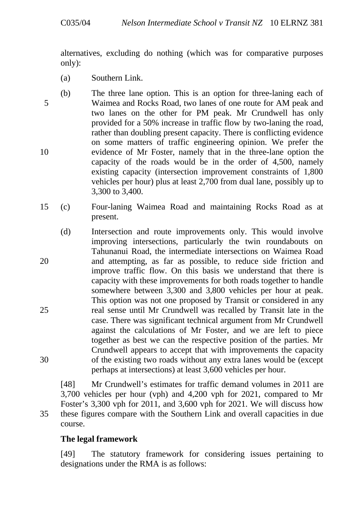alternatives, excluding do nothing (which was for comparative purposes only):

- (a) Southern Link.
- (b) The three lane option. This is an option for three-laning each of 5 Waimea and Rocks Road, two lanes of one route for AM peak and two lanes on the other for PM peak. Mr Crundwell has only provided for a 50% increase in traffic flow by two-laning the road, rather than doubling present capacity. There is conflicting evidence on some matters of traffic engineering opinion. We prefer the 10 evidence of Mr Foster, namely that in the three-lane option the capacity of the roads would be in the order of 4,500, namely existing capacity (intersection improvement constraints of 1,800 vehicles per hour) plus at least 2,700 from dual lane, possibly up to 3,300 to 3,400.
- 15 (c) Four-laning Waimea Road and maintaining Rocks Road as at present.
- (d) Intersection and route improvements only. This would involve improving intersections, particularly the twin roundabouts on Tahunanui Road, the intermediate intersections on Waimea Road 20 and attempting, as far as possible, to reduce side friction and improve traffic flow. On this basis we understand that there is capacity with these improvements for both roads together to handle somewhere between 3,300 and 3,800 vehicles per hour at peak. This option was not one proposed by Transit or considered in any 25 real sense until Mr Crundwell was recalled by Transit late in the case. There was significant technical argument from Mr Crundwell against the calculations of Mr Foster, and we are left to piece together as best we can the respective position of the parties. Mr Crundwell appears to accept that with improvements the capacity 30 of the existing two roads without any extra lanes would be (except perhaps at intersections) at least 3,600 vehicles per hour.

[48] Mr Crundwell's estimates for traffic demand volumes in 2011 are 3,700 vehicles per hour (vph) and 4,200 vph for 2021, compared to Mr Foster's 3,300 vph for 2011, and 3,600 vph for 2021. We will discuss how 35 these figures compare with the Southern Link and overall capacities in due course.

## **The legal framework**

[49] The statutory framework for considering issues pertaining to designations under the RMA is as follows: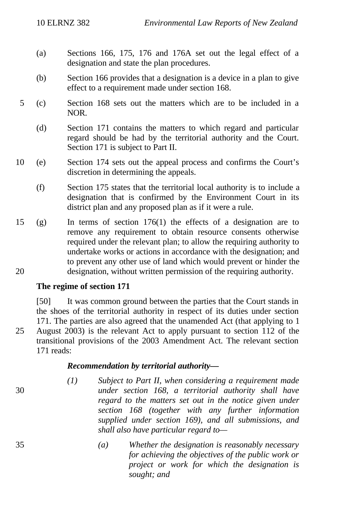- (a) Sections 166, 175, 176 and 176A set out the legal effect of a designation and state the plan procedures.
- (b) Section 166 provides that a designation is a device in a plan to give effect to a requirement made under section 168.
- 5 (c) Section 168 sets out the matters which are to be included in a NOR.
	- (d) Section 171 contains the matters to which regard and particular regard should be had by the territorial authority and the Court. Section 171 is subject to Part II.
- 10 (e) Section 174 sets out the appeal process and confirms the Court's discretion in determining the appeals.
	- (f) Section 175 states that the territorial local authority is to include a designation that is confirmed by the Environment Court in its district plan and any proposed plan as if it were a rule.
- 15 (g) In terms of section 176(1) the effects of a designation are to remove any requirement to obtain resource consents otherwise required under the relevant plan; to allow the requiring authority to undertake works or actions in accordance with the designation; and to prevent any other use of land which would prevent or hinder the 20 designation, without written permission of the requiring authority.

#### **The regime of section 171**

[50] It was common ground between the parties that the Court stands in the shoes of the territorial authority in respect of its duties under section 171. The parties are also agreed that the unamended Act (that applying to 1 25 August 2003) is the relevant Act to apply pursuant to section 112 of the transitional provisions of the 2003 Amendment Act. The relevant section 171 reads:

#### *Recommendation by territorial authority—*

*(1) Subject to Part II, when considering a requirement made* 30 *under section 168, a territorial authority shall have regard to the matters set out in the notice given under section 168 (together with any further information supplied under section 169), and all submissions, and shall also have particular regard to—*

35 *(a) Whether the designation is reasonably necessary for achieving the objectives of the public work or project or work for which the designation is sought; and*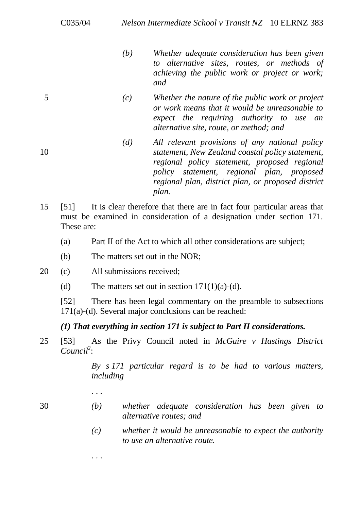- *(b) Whether adequate consideration has been given to alternative sites, routes, or methods of achieving the public work or project or work; and*
- 5 *(c) Whether the nature of the public work or project or work means that it would be unreasonable to expect the requiring authority to use an alternative site, route, or method; and*
- *(d) All relevant provisions of any national policy* 10 *statement, New Zealand coastal policy statement, regional policy statement, proposed regional policy statement, regional plan, proposed regional plan, district plan, or proposed district plan.*
- 15 [51] It is clear therefore that there are in fact four particular areas that must be examined in consideration of a designation under section 171. These are:
	- (a) Part II of the Act to which all other considerations are subject;
	- (b) The matters set out in the NOR;
- 20 (c) All submissions received;
	- (d) The matters set out in section  $171(1)(a)-(d)$ .

[52] There has been legal commentary on the preamble to subsections 171(a)-(d). Several major conclusions can be reached:

## *(1) That everything in section 171 is subject to Part II considerations.*

25 [53] As the Privy Council noted in *McGuire v Hastings District Council<sup>2</sup>* :

> *By s 171 particular regard is to be had to various matters, including*

- 
- 30 *(b) whether adequate consideration has been given to alternative routes; and*
	- *(c) whether it would be unreasonable to expect the authority to use an alternative route.*
	- *. . .*

*. . .*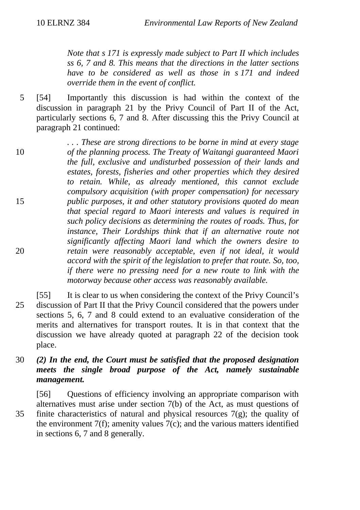*Note that s 171 is expressly made subject to Part II which includes ss 6, 7 and 8. This means that the directions in the latter sections have to be considered as well as those in s 171 and indeed override them in the event of conflict.*

5 [54] Importantly this discussion is had within the context of the discussion in paragraph 21 by the Privy Council of Part II of the Act, particularly sections 6, 7 and 8. After discussing this the Privy Council at paragraph 21 continued:

*. . . These are strong directions to be borne in mind at every stage* 10 *of the planning process. The Treaty of Waitangi guaranteed Maori the full, exclusive and undisturbed possession of their lands and estates, forests, fisheries and other properties which they desired to retain. While, as already mentioned, this cannot exclude compulsory acquisition (with proper compensation) for necessary* 15 *public purposes, it and other statutory provisions quoted do mean that special regard to Maori interests and values is required in such policy decisions as determining the routes of roads. Thus, for instance, Their Lordships think that if an alternative route not significantly affecting Maori land which the owners desire to* 20 *retain were reasonably acceptable, even if not ideal, it would accord with the spirit of the legislation to prefer that route. So, too, if there were no pressing need for a new route to link with the motorway because other access was reasonably available.*

- [55] It is clear to us when considering the context of the Privy Council's 25 discussion of Part II that the Privy Council considered that the powers under sections 5, 6, 7 and 8 could extend to an evaluative consideration of the merits and alternatives for transport routes. It is in that context that the discussion we have already quoted at paragraph 22 of the decision took place.
- 30 *(2) In the end, the Court must be satisfied that the proposed designation meets the single broad purpose of the Act, namely sustainable management.*

[56] Questions of efficiency involving an appropriate comparison with alternatives must arise under section 7(b) of the Act, as must questions of 35 finite characteristics of natural and physical resources  $7(g)$ ; the quality of the environment  $7(f)$ ; amenity values  $7(c)$ ; and the various matters identified in sections 6, 7 and 8 generally.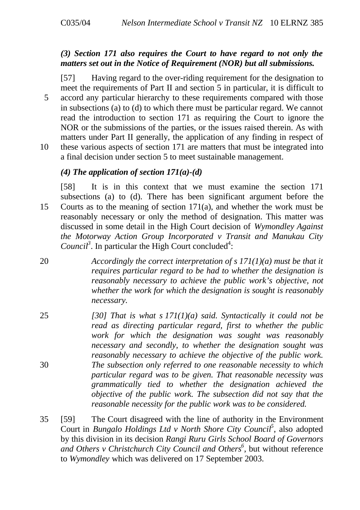## *(3) Section 171 also requires the Court to have regard to not only the matters set out in the Notice of Requirement (NOR) but all submissions.*

[57] Having regard to the over-riding requirement for the designation to meet the requirements of Part II and section 5 in particular, it is difficult to 5 accord any particular hierarchy to these requirements compared with those in subsections (a) to (d) to which there must be particular regard. We cannot read the introduction to section 171 as requiring the Court to ignore the NOR or the submissions of the parties, or the issues raised therein. As with matters under Part II generally, the application of any finding in respect of 10 these various aspects of section 171 are matters that must be integrated into a final decision under section 5 to meet sustainable management.

#### *(4) The application of section 171(a)-(d)*

[58] It is in this context that we must examine the section 171 subsections (a) to (d). There has been significant argument before the 15 Courts as to the meaning of section 171(a), and whether the work must be reasonably necessary or only the method of designation. This matter was discussed in some detail in the High Court decision of *Wymondley Against the Motorway Action Group Incorporated v Transit and Manukau City* Council<sup>3</sup>. In particular the High Court concluded<sup>4</sup>:

- 20 *Accordingly the correct interpretation of s 171(1)(a) must be that it requires particular regard to be had to whether the designation is reasonably necessary to achieve the public work's objective, not whether the work for which the designation is sought is reasonably necessary.*
- 25 *[30] That is what s 171(1)(a) said. Syntactically it could not be read as directing particular regard, first to whether the public work for which the designation was sought was reasonably necessary and secondly, to whether the designation sought was reasonably necessary to achieve the objective of the public work.* 30 *The subsection only referred to one reasonable necessity to which particular regard was to be given. That reasonable necessity was grammatically tied to whether the designation achieved the objective of the public work. The subsection did not say that the reasonable necessity for the public work was to be considered.*
- 35 [59] The Court disagreed with the line of authority in the Environment Court in *Bungalo Holdings Ltd v North Shore City Council<sup>5</sup>* , also adopted by this division in its decision *Rangi Ruru Girls School Board of Governors and Others v Christchurch City Council and Others<sup>6</sup>* , but without reference to *Wymondley* which was delivered on 17 September 2003.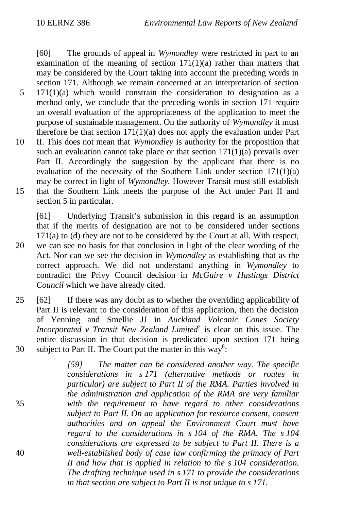[60] The grounds of appeal in *Wymondley* were restricted in part to an examination of the meaning of section  $171(1)(a)$  rather than matters that may be considered by the Court taking into account the preceding words in section 171. Although we remain concerned at an interpretation of section

- $5 \quad 171(1)(a)$  which would constrain the consideration to designation as a method only, we conclude that the preceding words in section 171 require an overall evaluation of the appropriateness of the application to meet the purpose of sustainable management. On the authority of *Wymondley* it must therefore be that section  $171(1)(a)$  does not apply the evaluation under Part
- 10 II. This does not mean that *Wymondley* is authority for the proposition that such an evaluation cannot take place or that section  $171(1)(a)$  prevails over Part II. Accordingly the suggestion by the applicant that there is no evaluation of the necessity of the Southern Link under section  $171(1)(a)$ may be correct in light of *Wymondley*. However Transit must still establish 15 that the Southern Link meets the purpose of the Act under Part II and
	- section 5 in particular.

[61] Underlying Transit's submission in this regard is an assumption that if the merits of designation are not to be considered under sections 171(a) to (d) they are not to be considered by the Court at all. With respect, 20 we can see no basis for that conclusion in light of the clear wording of the Act. Nor can we see the decision in *Wymondley* as establishing that as the correct approach. We did not understand anything in *Wymondley* to contradict the Privy Council decision in *McGuire v Hastings District Council* which we have already cited.

25 [62] If there was any doubt as to whether the overriding applicability of Part II is relevant to the consideration of this application, then the decision of Yenning and Smellie JJ in *Auckland Volcanic Cones Society Incorporated v Transit New Zealand Limited<sup>7</sup>* is clear on this issue. The entire discussion in that decision is predicated upon section 171 being 30 subject to Part II. The Court put the matter in this way<sup>8</sup>:

*[59] The matter can be considered another way. The specific considerations in s 171 (alternative methods or routes in particular) are subject to Part II of the RMA. Parties involved in the administration and application of the RMA are very familiar* 35 *with the requirement to have regard to other considerations subject to Part II. On an application for resource consent, consent authorities and on appeal the Environment Court must have regard to the considerations in s 104 of the RMA. The s 104 considerations are expressed to be subject to Part II. There is a* 40 *well-established body of case law confirming the primacy of Part II and how that is applied in relation to the s 104 consideration. The drafting technique used in s 171 to provide the considerations in that section are subject to Part II is not unique to s 171.*

- 
-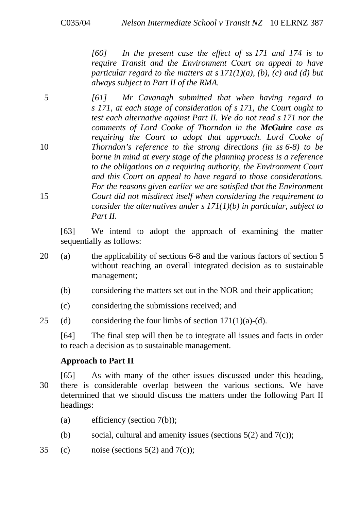*[60] In the present case the effect of ss 171 and 174 is to require Transit and the Environment Court on appeal to have particular regard to the matters at s 171(1)(a), (b), (c) and (d) but always subject to Part II of the RMA.*

5 *[61] Mr Cavanagh submitted that when having regard to s 171, at each stage of consideration of s 171, the Court ought to test each alternative against Part II. We do not read s 171 nor the comments of Lord Cooke of Thorndon in the McGuire case as requiring the Court to adopt that approach. Lord Cooke of* 10 *Thorndon's reference to the strong directions (in ss 6-8) to be borne in mind at every stage of the planning process is a reference to the obligations on a requiring authority, the Environment Court and this Court on appeal to have regard to those considerations. For the reasons given earlier we are satisfied that the Environment* 15 *Court did not misdirect itself when considering the requirement to consider the alternatives under s 171(1)(b) in particular, subject to Part II.*

[63] We intend to adopt the approach of examining the matter sequentially as follows:

- 20 (a) the applicability of sections 6-8 and the various factors of section 5 without reaching an overall integrated decision as to sustainable management;
	- (b) considering the matters set out in the NOR and their application;
	- (c) considering the submissions received; and
- 25 (d) considering the four limbs of section  $171(1)(a)-(d)$ .

[64] The final step will then be to integrate all issues and facts in order to reach a decision as to sustainable management.

## **Approach to Part II**

- [65] As with many of the other issues discussed under this heading, 30 there is considerable overlap between the various sections. We have determined that we should discuss the matters under the following Part II headings:
	- (a) efficiency (section 7(b));
	- (b) social, cultural and amenity issues (sections  $5(2)$  and  $7(c)$ );
- 35 (c) noise (sections  $5(2)$  and  $7(c)$ );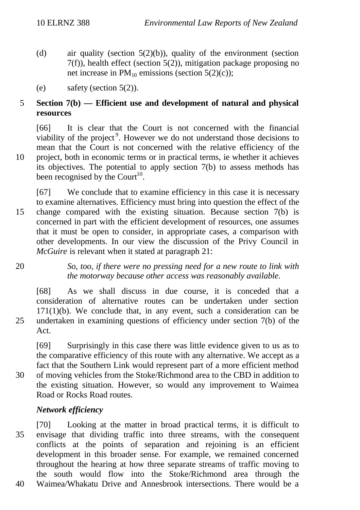- (d) air quality (section 5(2)(b)), quality of the environment (section  $7(f)$ ), health effect (section  $5(2)$ ), mitigation package proposing no net increase in  $PM_{10}$  emissions (section 5(2)(c)):
- (e) safety (section 5(2)).

## 5 **Section 7(b) — Efficient use and development of natural and physical resources**

[66] It is clear that the Court is not concerned with the financial viability of the project<sup>9</sup>. However we do not understand those decisions to mean that the Court is not concerned with the relative efficiency of the 10 project, both in economic terms or in practical terms, ie whether it achieves its objectives. The potential to apply section 7(b) to assess methods has been recognised by the Court<sup>10</sup>.

- [67] We conclude that to examine efficiency in this case it is necessary to examine alternatives. Efficiency must bring into question the effect of the 15 change compared with the existing situation. Because section 7(b) is concerned in part with the efficient development of resources, one assumes that it must be open to consider, in appropriate cases, a comparison with other developments. In our view the discussion of the Privy Council in *McGuire* is relevant when it stated at paragraph 21:
- 20 *So, too, if there were no pressing need for a new route to link with the motorway because other access was reasonably available.*

[68] As we shall discuss in due course, it is conceded that a consideration of alternative routes can be undertaken under section  $171(1)(b)$ . We conclude that, in any event, such a consideration can be 25 undertaken in examining questions of efficiency under section 7(b) of the Act.

[69] Surprisingly in this case there was little evidence given to us as to the comparative efficiency of this route with any alternative. We accept as a fact that the Southern Link would represent part of a more efficient method 30 of moving vehicles from the Stoke/Richmond area to the CBD in addition to the existing situation. However, so would any improvement to Waimea Road or Rocks Road routes.

## *Network efficiency*

[70] Looking at the matter in broad practical terms, it is difficult to 35 envisage that dividing traffic into three streams, with the consequent conflicts at the points of separation and rejoining is an efficient development in this broader sense. For example, we remained concerned throughout the hearing at how three separate streams of traffic moving to the south would flow into the Stoke/Richmond area through the 40 Waimea/Whakatu Drive and Annesbrook intersections. There would be a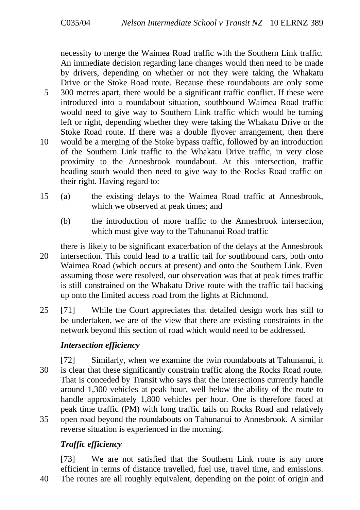necessity to merge the Waimea Road traffic with the Southern Link traffic. An immediate decision regarding lane changes would then need to be made by drivers, depending on whether or not they were taking the Whakatu Drive or the Stoke Road route. Because these roundabouts are only some

- 5 300 metres apart, there would be a significant traffic conflict. If these were introduced into a roundabout situation, southbound Waimea Road traffic would need to give way to Southern Link traffic which would be turning left or right, depending whether they were taking the Whakatu Drive or the Stoke Road route. If there was a double flyover arrangement, then there
- 10 would be a merging of the Stoke bypass traffic, followed by an introduction of the Southern Link traffic to the Whakatu Drive traffic, in very close proximity to the Annesbrook roundabout. At this intersection, traffic heading south would then need to give way to the Rocks Road traffic on their right. Having regard to:
- 15 (a) the existing delays to the Waimea Road traffic at Annesbrook, which we observed at peak times; and
	- (b) the introduction of more traffic to the Annesbrook intersection, which must give way to the Tahunanui Road traffic
- there is likely to be significant exacerbation of the delays at the Annesbrook 20 intersection. This could lead to a traffic tail for southbound cars, both onto Waimea Road (which occurs at present) and onto the Southern Link. Even assuming those were resolved, our observation was that at peak times traffic is still constrained on the Whakatu Drive route with the traffic tail backing up onto the limited access road from the lights at Richmond.
- 25 [71] While the Court appreciates that detailed design work has still to be undertaken, we are of the view that there are existing constraints in the network beyond this section of road which would need to be addressed.

## *Intersection efficiency*

[72] Similarly, when we examine the twin roundabouts at Tahunanui, it 30 is clear that these significantly constrain traffic along the Rocks Road route. That is conceded by Transit who says that the intersections currently handle around 1,300 vehicles at peak hour, well below the ability of the route to handle approximately 1,800 vehicles per hour. One is therefore faced at peak time traffic (PM) with long traffic tails on Rocks Road and relatively 35 open road beyond the roundabouts on Tahunanui to Annesbrook. A similar reverse situation is experienced in the morning.

# *Traffic efficiency*

[73] We are not satisfied that the Southern Link route is any more efficient in terms of distance travelled, fuel use, travel time, and emissions.

40 The routes are all roughly equivalent, depending on the point of origin and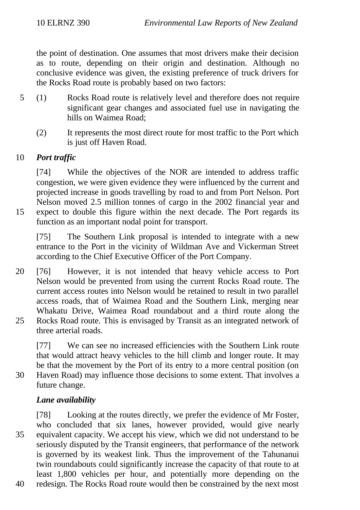the point of destination. One assumes that most drivers make their decision as to route, depending on their origin and destination. Although no conclusive evidence was given, the existing preference of truck drivers for the Rocks Road route is probably based on two factors:

- 5 (1) Rocks Road route is relatively level and therefore does not require significant gear changes and associated fuel use in navigating the hills on Waimea Road;
	- (2) It represents the most direct route for most traffic to the Port which is just off Haven Road.

## 10 *Port traffic*

[74] While the objectives of the NOR are intended to address traffic congestion, we were given evidence they were influenced by the current and projected increase in goods travelling by road to and from Port Nelson. Port Nelson moved 2.5 million tonnes of cargo in the 2002 financial year and

15 expect to double this figure within the next decade. The Port regards its function as an important nodal point for transport.

[75] The Southern Link proposal is intended to integrate with a new entrance to the Port in the vicinity of Wildman Ave and Vickerman Street according to the Chief Executive Officer of the Port Company.

- 20 [76] However, it is not intended that heavy vehicle access to Port Nelson would be prevented from using the current Rocks Road route. The current access routes into Nelson would be retained to result in two parallel access roads, that of Waimea Road and the Southern Link, merging near Whakatu Drive, Waimea Road roundabout and a third route along the 25 Rocks Road route. This is envisaged by Transit as an integrated network of
- three arterial roads.

[77] We can see no increased efficiencies with the Southern Link route that would attract heavy vehicles to the hill climb and longer route. It may be that the movement by the Port of its entry to a more central position (on 30 Haven Road) may influence those decisions to some extent. That involves a future change.

## *Lane availability*

[78] Looking at the routes directly, we prefer the evidence of Mr Foster, who concluded that six lanes, however provided, would give nearly 35 equivalent capacity. We accept his view, which we did not understand to be seriously disputed by the Transit engineers, that performance of the network is governed by its weakest link. Thus the improvement of the Tahunanui twin roundabouts could significantly increase the capacity of that route to at least 1,800 vehicles per hour, and potentially more depending on the

40 redesign. The Rocks Road route would then be constrained by the next most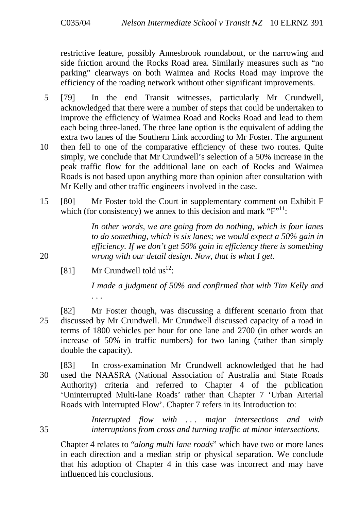restrictive feature, possibly Annesbrook roundabout, or the narrowing and side friction around the Rocks Road area. Similarly measures such as "no parking" clearways on both Waimea and Rocks Road may improve the efficiency of the roading network without other significant improvements.

- 5 [79] In the end Transit witnesses, particularly Mr Crundwell, acknowledged that there were a number of steps that could be undertaken to improve the efficiency of Waimea Road and Rocks Road and lead to them each being three-laned. The three lane option is the equivalent of adding the extra two lanes of the Southern Link according to Mr Foster. The argument
- 10 then fell to one of the comparative efficiency of these two routes. Quite simply, we conclude that Mr Crundwell's selection of a 50% increase in the peak traffic flow for the additional lane on each of Rocks and Waimea Roads is not based upon anything more than opinion after consultation with Mr Kelly and other traffic engineers involved in the case.
- 15 [80] Mr Foster told the Court in supplementary comment on Exhibit F which (for consistency) we annex to this decision and mark  $F''^{11}$ :

*In other words, we are going from do nothing, which is four lanes to do something, which is six lanes; we would expect a 50% gain in efficiency. If we don't get 50% gain in efficiency there is something* 20 *wrong with our detail design. Now, that is what I get.*

[81] Mr Crundwell told  $us^{12}$ :

*I made a judgment of 50% and confirmed that with Tim Kelly and . . .*

[82] Mr Foster though, was discussing a different scenario from that 25 discussed by Mr Crundwell. Mr Crundwell discussed capacity of a road in terms of 1800 vehicles per hour for one lane and 2700 (in other words an increase of 50% in traffic numbers) for two laning (rather than simply double the capacity).

[83] In cross-examination Mr Crundwell acknowledged that he had 30 used the NAASRA (National Association of Australia and State Roads Authority) criteria and referred to Chapter 4 of the publication 'Uninterrupted Multi-lane Roads' rather than Chapter 7 'Urban Arterial Roads with Interrupted Flow'. Chapter 7 refers in its Introduction to:

*Interrupted flow with . . . major intersections and with* 35 *interruptions from cross and turning traffic at minor intersections.*

Chapter 4 relates to "*along multi lane roads*" which have two or more lanes in each direction and a median strip or physical separation. We conclude that his adoption of Chapter 4 in this case was incorrect and may have influenced his conclusions.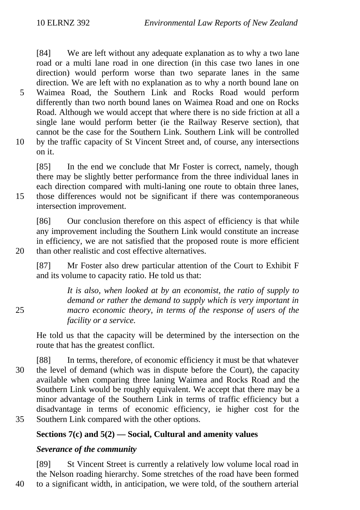[84] We are left without any adequate explanation as to why a two lane road or a multi lane road in one direction (in this case two lanes in one direction) would perform worse than two separate lanes in the same direction. We are left with no explanation as to why a north bound lane on 5 Waimea Road, the Southern Link and Rocks Road would perform differently than two north bound lanes on Waimea Road and one on Rocks Road. Although we would accept that where there is no side friction at all a single lane would perform better (ie the Railway Reserve section), that cannot be the case for the Southern Link. Southern Link will be controlled 10 by the traffic capacity of St Vincent Street and, of course, any intersections

on it.

[85] In the end we conclude that Mr Foster is correct, namely, though there may be slightly better performance from the three individual lanes in each direction compared with multi-laning one route to obtain three lanes, 15 those differences would not be significant if there was contemporaneous intersection improvement.

[86] Our conclusion therefore on this aspect of efficiency is that while any improvement including the Southern Link would constitute an increase in efficiency, we are not satisfied that the proposed route is more efficient 20 than other realistic and cost effective alternatives.

[87] Mr Foster also drew particular attention of the Court to Exhibit F and its volume to capacity ratio. He told us that:

*It is also, when looked at by an economist, the ratio of supply to demand or rather the demand to supply which is very important in* 25 *macro economic theory, in terms of the response of users of the facility or a service.*

He told us that the capacity will be determined by the intersection on the route that has the greatest conflict.

[88] In terms, therefore, of economic efficiency it must be that whatever 30 the level of demand (which was in dispute before the Court), the capacity available when comparing three laning Waimea and Rocks Road and the Southern Link would be roughly equivalent. We accept that there may be a minor advantage of the Southern Link in terms of traffic efficiency but a disadvantage in terms of economic efficiency, ie higher cost for the 35 Southern Link compared with the other options.

## **Sections 7(c) and 5(2) — Social, Cultural and amenity values**

## *Severance of the community*

[89] St Vincent Street is currently a relatively low volume local road in the Nelson roading hierarchy. Some stretches of the road have been formed 40 to a significant width, in anticipation, we were told, of the southern arterial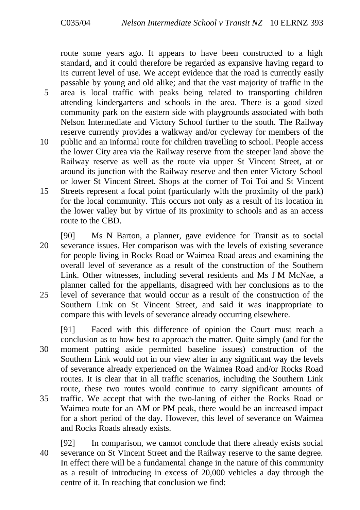route some years ago. It appears to have been constructed to a high standard, and it could therefore be regarded as expansive having regard to its current level of use. We accept evidence that the road is currently easily passable by young and old alike; and that the vast majority of traffic in the 5 area is local traffic with peaks being related to transporting children attending kindergartens and schools in the area. There is a good sized community park on the eastern side with playgrounds associated with both Nelson Intermediate and Victory School further to the south. The Railway reserve currently provides a walkway and/or cycleway for members of the

- 10 public and an informal route for children travelling to school. People access the lower City area via the Railway reserve from the steeper land above the Railway reserve as well as the route via upper St Vincent Street, at or around its junction with the Railway reserve and then enter Victory School or lower St Vincent Street. Shops at the corner of Toi Toi and St Vincent
- 15 Streets represent a focal point (particularly with the proximity of the park) for the local community. This occurs not only as a result of its location in the lower valley but by virtue of its proximity to schools and as an access route to the CBD.
- [90] Ms N Barton, a planner, gave evidence for Transit as to social 20 severance issues. Her comparison was with the levels of existing severance for people living in Rocks Road or Waimea Road areas and examining the overall level of severance as a result of the construction of the Southern Link. Other witnesses, including several residents and Ms J M McNae, a planner called for the appellants, disagreed with her conclusions as to the 25 level of severance that would occur as a result of the construction of the Southern Link on St Vincent Street, and said it was inappropriate to compare this with levels of severance already occurring elsewhere.
- [91] Faced with this difference of opinion the Court must reach a conclusion as to how best to approach the matter. Quite simply (and for the 30 moment putting aside permitted baseline issues) construction of the Southern Link would not in our view alter in any significant way the levels of severance already experienced on the Waimea Road and/or Rocks Road routes. It is clear that in all traffic scenarios, including the Southern Link route, these two routes would continue to carry significant amounts of 35 traffic. We accept that with the two-laning of either the Rocks Road or
- Waimea route for an AM or PM peak, there would be an increased impact for a short period of the day. However, this level of severance on Waimea and Rocks Roads already exists.
- [92] In comparison, we cannot conclude that there already exists social 40 severance on St Vincent Street and the Railway reserve to the same degree. In effect there will be a fundamental change in the nature of this community as a result of introducing in excess of 20,000 vehicles a day through the centre of it. In reaching that conclusion we find: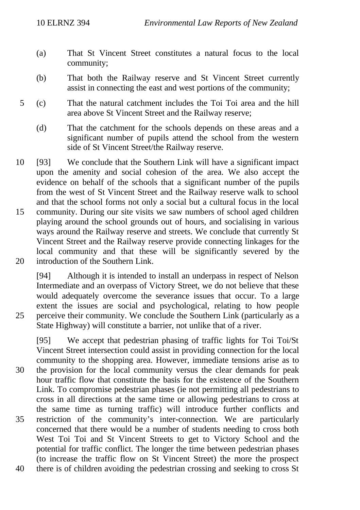- (a) That St Vincent Street constitutes a natural focus to the local community;
- (b) That both the Railway reserve and St Vincent Street currently assist in connecting the east and west portions of the community;
- 5 (c) That the natural catchment includes the Toi Toi area and the hill area above St Vincent Street and the Railway reserve;
	- (d) That the catchment for the schools depends on these areas and a significant number of pupils attend the school from the western side of St Vincent Street/the Railway reserve.
- 10 [93] We conclude that the Southern Link will have a significant impact upon the amenity and social cohesion of the area. We also accept the evidence on behalf of the schools that a significant number of the pupils from the west of St Vincent Street and the Railway reserve walk to school and that the school forms not only a social but a cultural focus in the local 15 community. During our site visits we saw numbers of school aged children playing around the school grounds out of hours, and socialising in various ways around the Railway reserve and streets. We conclude that currently St Vincent Street and the Railway reserve provide connecting linkages for the local community and that these will be significantly severed by the 20 introduction of the Southern Link.
- [94] Although it is intended to install an underpass in respect of Nelson Intermediate and an overpass of Victory Street, we do not believe that these would adequately overcome the severance issues that occur. To a large extent the issues are social and psychological, relating to how people 25 perceive their community. We conclude the Southern Link (particularly as a State Highway) will constitute a barrier, not unlike that of a river.

[95] We accept that pedestrian phasing of traffic lights for Toi Toi/St Vincent Street intersection could assist in providing connection for the local community to the shopping area. However, immediate tensions arise as to 30 the provision for the local community versus the clear demands for peak hour traffic flow that constitute the basis for the existence of the Southern Link. To compromise pedestrian phases (ie not permitting all pedestrians to cross in all directions at the same time or allowing pedestrians to cross at the same time as turning traffic) will introduce further conflicts and 35 restriction of the community's inter-connection. We are particularly concerned that there would be a number of students needing to cross both West Toi Toi and St Vincent Streets to get to Victory School and the potential for traffic conflict. The longer the time between pedestrian phases (to increase the traffic flow on St Vincent Street) the more the prospect 40 there is of children avoiding the pedestrian crossing and seeking to cross St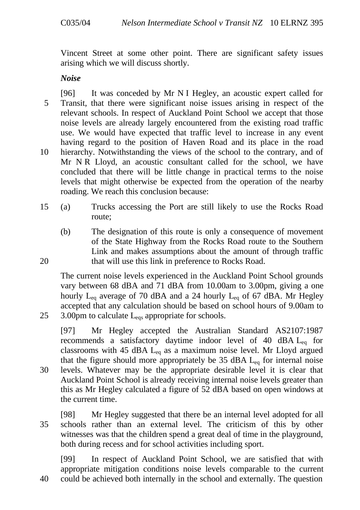Vincent Street at some other point. There are significant safety issues arising which we will discuss shortly.

*Noise*

[96] It was conceded by Mr N I Hegley, an acoustic expert called for 5 Transit, that there were significant noise issues arising in respect of the relevant schools. In respect of Auckland Point School we accept that those noise levels are already largely encountered from the existing road traffic use. We would have expected that traffic level to increase in any event having regard to the position of Haven Road and its place in the road 10 hierarchy. Notwithstanding the views of the school to the contrary, and of Mr N R Lloyd, an acoustic consultant called for the school, we have concluded that there will be little change in practical terms to the noise levels that might otherwise be expected from the operation of the nearby roading. We reach this conclusion because:

- 15 (a) Trucks accessing the Port are still likely to use the Rocks Road route;
- (b) The designation of this route is only a consequence of movement of the State Highway from the Rocks Road route to the Southern Link and makes assumptions about the amount of through traffic 20 that will use this link in preference to Rocks Road.

The current noise levels experienced in the Auckland Point School grounds vary between 68 dBA and 71 dBA from 10.00am to 3.00pm, giving a one hourly  $L_{eq}$  average of 70 dBA and a 24 hourly  $L_{eq}$  of 67 dBA. Mr Hegley accepted that any calculation should be based on school hours of 9.00am to 25  $\,$  3.00pm to calculate L<sub>eqs</sub> appropriate for schools.

[97] Mr Hegley accepted the Australian Standard AS2107:1987 recommends a satisfactory daytime indoor level of 40 dBA  $L_{eq}$  for classrooms with 45 dBA  $L_{eq}$  as a maximum noise level. Mr Lloyd argued that the figure should more appropriately be 35 dBA  $L_{eq}$  for internal noise

30 levels. Whatever may be the appropriate desirable level it is clear that Auckland Point School is already receiving internal noise levels greater than this as Mr Hegley calculated a figure of 52 dBA based on open windows at the current time.

[98] Mr Hegley suggested that there be an internal level adopted for all 35 schools rather than an external level. The criticism of this by other witnesses was that the children spend a great deal of time in the playground, both during recess and for school activities including sport.

[99] In respect of Auckland Point School, we are satisfied that with appropriate mitigation conditions noise levels comparable to the current 40 could be achieved both internally in the school and externally. The question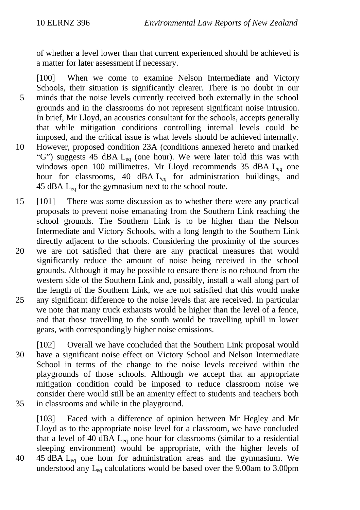of whether a level lower than that current experienced should be achieved is a matter for later assessment if necessary.

[100] When we come to examine Nelson Intermediate and Victory Schools, their situation is significantly clearer. There is no doubt in our 5 minds that the noise levels currently received both externally in the school grounds and in the classrooms do not represent significant noise intrusion. In brief, Mr Lloyd, an acoustics consultant for the schools, accepts generally that while mitigation conditions controlling internal levels could be imposed, and the critical issue is what levels should be achieved internally. 10 However, proposed condition 23A (conditions annexed hereto and marked "G") suggests 45 dBA  $L_{eq}$  (one hour). We were later told this was with windows open 100 millimetres. Mr Lloyd recommends 35 dBA  $L_{eq}$  one hour for classrooms, 40 dBA L<sub>eq</sub> for administration buildings, and 45 dBA  $L_{eq}$  for the gymnasium next to the school route.

- 15 [101] There was some discussion as to whether there were any practical proposals to prevent noise emanating from the Southern Link reaching the school grounds. The Southern Link is to be higher than the Nelson Intermediate and Victory Schools, with a long length to the Southern Link directly adjacent to the schools. Considering the proximity of the sources
- 20 we are not satisfied that there are any practical measures that would significantly reduce the amount of noise being received in the school grounds. Although it may be possible to ensure there is no rebound from the western side of the Southern Link and, possibly, install a wall along part of the length of the Southern Link, we are not satisfied that this would make 25 any significant difference to the noise levels that are received. In particular we note that many truck exhausts would be higher than the level of a fence, and that those travelling to the south would be travelling uphill in lower gears, with correspondingly higher noise emissions.
- [102] Overall we have concluded that the Southern Link proposal would 30 have a significant noise effect on Victory School and Nelson Intermediate School in terms of the change to the noise levels received within the playgrounds of those schools. Although we accept that an appropriate mitigation condition could be imposed to reduce classroom noise we consider there would still be an amenity effect to students and teachers both 35 in classrooms and while in the playground.

[103] Faced with a difference of opinion between Mr Hegley and Mr Lloyd as to the appropriate noise level for a classroom, we have concluded that a level of 40 dBA  $L_{eq}$  one hour for classrooms (similar to a residential sleeping environment) would be appropriate, with the higher levels of 40 45 dBA Leq one hour for administration areas and the gymnasium. We understood any  $L_{eq}$  calculations would be based over the 9.00am to 3.00pm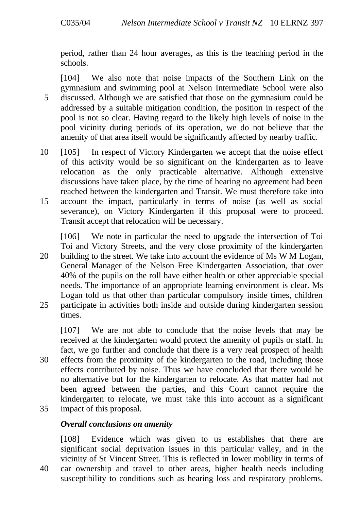period, rather than 24 hour averages, as this is the teaching period in the schools.

[104] We also note that noise impacts of the Southern Link on the gymnasium and swimming pool at Nelson Intermediate School were also 5 discussed. Although we are satisfied that those on the gymnasium could be addressed by a suitable mitigation condition, the position in respect of the pool is not so clear. Having regard to the likely high levels of noise in the pool vicinity during periods of its operation, we do not believe that the amenity of that area itself would be significantly affected by nearby traffic.

10 [105] In respect of Victory Kindergarten we accept that the noise effect of this activity would be so significant on the kindergarten as to leave relocation as the only practicable alternative. Although extensive discussions have taken place, by the time of hearing no agreement had been reached between the kindergarten and Transit. We must therefore take into 15 account the impact, particularly in terms of noise (as well as social severance), on Victory Kindergarten if this proposal were to proceed. Transit accept that relocation will be necessary.

[106] We note in particular the need to upgrade the intersection of Toi Toi and Victory Streets, and the very close proximity of the kindergarten 20 building to the street. We take into account the evidence of Ms W M Logan, General Manager of the Nelson Free Kindergarten Association, that over 40% of the pupils on the roll have either health or other appreciable special needs. The importance of an appropriate learning environment is clear. Ms Logan told us that other than particular compulsory inside times, children

25 participate in activities both inside and outside during kindergarten session times.

[107] We are not able to conclude that the noise levels that may be received at the kindergarten would protect the amenity of pupils or staff. In fact, we go further and conclude that there is a very real prospect of health

- 30 effects from the proximity of the kindergarten to the road, including those effects contributed by noise. Thus we have concluded that there would be no alternative but for the kindergarten to relocate. As that matter had not been agreed between the parties, and this Court cannot require the kindergarten to relocate, we must take this into account as a significant 35 impact of this proposal.
- 

## *Overall conclusions on amenity*

[108] Evidence which was given to us establishes that there are significant social deprivation issues in this particular valley, and in the vicinity of St Vincent Street. This is reflected in lower mobility in terms of 40 car ownership and travel to other areas, higher health needs including susceptibility to conditions such as hearing loss and respiratory problems.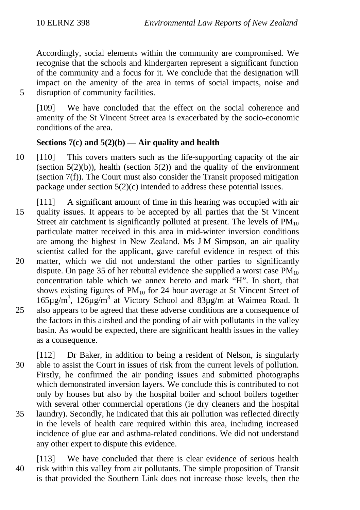Accordingly, social elements within the community are compromised. We recognise that the schools and kindergarten represent a significant function of the community and a focus for it. We conclude that the designation will impact on the amenity of the area in terms of social impacts, noise and 5 disruption of community facilities.

[109] We have concluded that the effect on the social coherence and amenity of the St Vincent Street area is exacerbated by the socio-economic conditions of the area.

## **Sections 7(c) and 5(2)(b) — Air quality and health**

- 10 [110] This covers matters such as the life-supporting capacity of the air (section  $5(2)(b)$ ), health (section  $5(2)$ ) and the quality of the environment (section 7(f)). The Court must also consider the Transit proposed mitigation package under section 5(2)(c) intended to address these potential issues.
- [111] A significant amount of time in this hearing was occupied with air 15 quality issues. It appears to be accepted by all parties that the St Vincent Street air catchment is significantly polluted at present. The levels of  $PM_{10}$ particulate matter received in this area in mid-winter inversion conditions are among the highest in New Zealand. Ms J M Simpson, an air quality scientist called for the applicant, gave careful evidence in respect of this
- 20 matter, which we did not understand the other parties to significantly dispute. On page 35 of her rebuttal evidence she supplied a worst case  $PM_{10}$ concentration table which we annex hereto and mark "H". In short, that shows existing figures of  $PM_{10}$  for 24 hour average at St Vincent Street of  $165\mu\text{g/m}^3$ ,  $126\mu\text{g/m}^3$  at Victory School and  $83\mu\text{g/m}$  at Waimea Road. It 25 also appears to be agreed that these adverse conditions are a consequence of the factors in this airshed and the ponding of air with pollutants in the valley basin. As would be expected, there are significant health issues in the valley as a consequence.
- [112] Dr Baker, in addition to being a resident of Nelson, is singularly 30 able to assist the Court in issues of risk from the current levels of pollution. Firstly, he confirmed the air ponding issues and submitted photographs which demonstrated inversion layers. We conclude this is contributed to not only by houses but also by the hospital boiler and school boilers together with several other commercial operations (ie dry cleaners and the hospital 35 laundry). Secondly, he indicated that this air pollution was reflected directly in the levels of health care required within this area, including increased incidence of glue ear and asthma-related conditions. We did not understand any other expert to dispute this evidence.

[113] We have concluded that there is clear evidence of serious health 40 risk within this valley from air pollutants. The simple proposition of Transit is that provided the Southern Link does not increase those levels, then the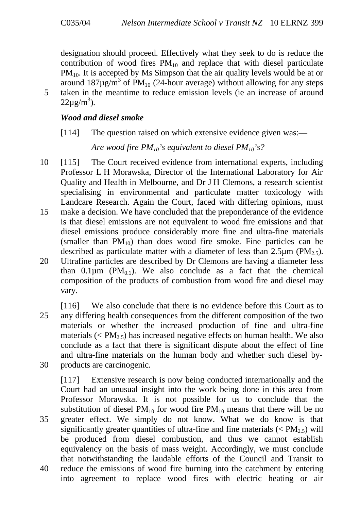designation should proceed. Effectively what they seek to do is reduce the contribution of wood fires  $PM_{10}$  and replace that with diesel particulate  $PM_{10}$ . It is accepted by Ms Simpson that the air quality levels would be at or around  $187 \mu g/m^3$  of PM<sub>10</sub> (24-hour average) without allowing for any steps 5 taken in the meantime to reduce emission levels (ie an increase of around  $22\mu\text{g/m}^3$ ).

## *Wood and diesel smoke*

[114] The question raised on which extensive evidence given was:—

*Are wood fire PM10's equivalent to diesel PM10's?*

- 10 [115] The Court received evidence from international experts, including Professor L H Morawska, Director of the International Laboratory for Air Quality and Health in Melbourne, and Dr J H Clemons, a research scientist specialising in environmental and particulate matter toxicology with Landcare Research. Again the Court, faced with differing opinions, must 15 make a decision. We have concluded that the preponderance of the evidence is that diesel emissions are not equivalent to wood fire emissions and that diesel emissions produce considerably more fine and ultra-fine materials (smaller than  $PM_{10}$ ) than does wood fire smoke. Fine particles can be described as particulate matter with a diameter of less than 2.5 $\mu$ m (PM<sub>2.5</sub>).
- 20 Ultrafine particles are described by Dr Clemons are having a diameter less than 0.1 $\mu$ m (PM<sub>0.1</sub>). We also conclude as a fact that the chemical composition of the products of combustion from wood fire and diesel may vary.
- [116] We also conclude that there is no evidence before this Court as to 25 any differing health consequences from the different composition of the two materials or whether the increased production of fine and ultra-fine materials ( $\langle PM_{2.5} \rangle$  has increased negative effects on human health. We also conclude as a fact that there is significant dispute about the effect of fine and ultra-fine materials on the human body and whether such diesel by-30 products are carcinogenic.

[117] Extensive research is now being conducted internationally and the Court had an unusual insight into the work being done in this area from Professor Morawska. It is not possible for us to conclude that the substitution of diesel  $PM_{10}$  for wood fire  $PM_{10}$  means that there will be no 35 greater effect. We simply do not know. What we do know is that significantly greater quantities of ultra-fine and fine materials ( $\langle PM_2, \rangle$ ) will be produced from diesel combustion, and thus we cannot establish equivalency on the basis of mass weight. Accordingly, we must conclude that notwithstanding the laudable efforts of the Council and Transit to 40 reduce the emissions of wood fire burning into the catchment by entering into agreement to replace wood fires with electric heating or air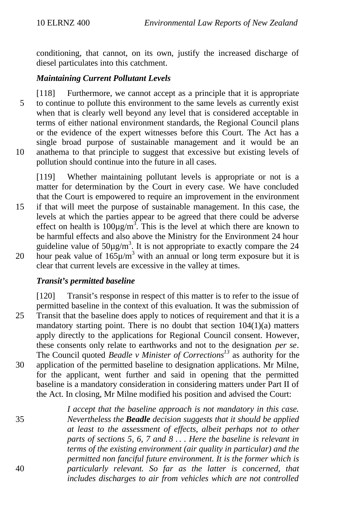conditioning, that cannot, on its own, justify the increased discharge of diesel particulates into this catchment.

#### *Maintaining Current Pollutant Levels*

[118] Furthermore, we cannot accept as a principle that it is appropriate 5 to continue to pollute this environment to the same levels as currently exist when that is clearly well beyond any level that is considered acceptable in terms of either national environment standards, the Regional Council plans or the evidence of the expert witnesses before this Court. The Act has a single broad purpose of sustainable management and it would be an 10 anathema to that principle to suggest that excessive but existing levels of pollution should continue into the future in all cases.

[119] Whether maintaining pollutant levels is appropriate or not is a matter for determination by the Court in every case. We have concluded that the Court is empowered to require an improvement in the environment 15 if that will meet the purpose of sustainable management. In this case, the levels at which the parties appear to be agreed that there could be adverse effect on health is  $100 \mu g/m^3$ . This is the level at which there are known to be harmful effects and also above the Ministry for the Environment 24 hour guideline value of  $50\mu\text{g/m}^3$ . It is not appropriate to exactly compare the 24 20 hour peak value of  $165\mu/m^3$  with an annual or long term exposure but it is clear that current levels are excessive in the valley at times.

## *Transit's permitted baseline*

[120] Transit's response in respect of this matter is to refer to the issue of permitted baseline in the context of this evaluation. It was the submission of 25 Transit that the baseline does apply to notices of requirement and that it is a mandatory starting point. There is no doubt that section  $104(1)(a)$  matters apply directly to the applications for Regional Council consent. However, these consents only relate to earthworks and not to the designation *per se*. The Council quoted *Beadle v Minister of Corrections<sup>13</sup>* as authority for the 30 application of the permitted baseline to designation applications. Mr Milne, for the applicant, went further and said in opening that the permitted baseline is a mandatory consideration in considering matters under Part II of the Act. In closing, Mr Milne modified his position and advised the Court:

*I accept that the baseline approach is not mandatory in this case.* 35 *Nevertheless the Beadle decision suggests that it should be applied at least to the assessment of effects, albeit perhaps not to other parts of sections 5, 6, 7 and 8 . . . Here the baseline is relevant in terms of the existing environment (air quality in particular) and the permitted non fanciful future environment. It is the former which is* 40 *particularly relevant. So far as the latter is concerned, that includes discharges to air from vehicles which are not controlled*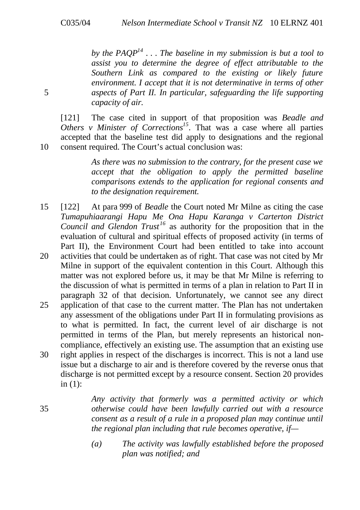*by the PAQP<sup>14</sup> . . . The baseline in my submission is but a tool to assist you to determine the degree of effect attributable to the Southern Link as compared to the existing or likely future environment. I accept that it is not determinative in terms of other* 5 *aspects of Part II. In particular, safeguarding the life supporting capacity of air.*

[121] The case cited in support of that proposition was *Beadle and Others v Minister of Corrections<sup>15</sup>*. That was a case where all parties accepted that the baseline test did apply to designations and the regional 10 consent required. The Court's actual conclusion was:

> *As there was no submission to the contrary, for the present case we accept that the obligation to apply the permitted baseline comparisons extends to the application for regional consents and to the designation requirement.*

- 15 [122] At para 999 of *Beadle* the Court noted Mr Milne as citing the case *Tumapuhiaarangi Hapu Me Ona Hapu Karanga v Carterton District Council and Glendon Trust <sup>16</sup>* as authority for the proposition that in the evaluation of cultural and spiritual effects of proposed activity (in terms of Part II), the Environment Court had been entitled to take into account 20 activities that could be undertaken as of right. That case was not cited by Mr
- Milne in support of the equivalent contention in this Court. Although this matter was not explored before us, it may be that Mr Milne is referring to the discussion of what is permitted in terms of a plan in relation to Part II in paragraph 32 of that decision. Unfortunately, we cannot see any direct
- 25 application of that case to the current matter. The Plan has not undertaken any assessment of the obligations under Part II in formulating provisions as to what is permitted. In fact, the current level of air discharge is not permitted in terms of the Plan, but merely represents an historical noncompliance, effectively an existing use. The assumption that an existing use
- 30 right applies in respect of the discharges is incorrect. This is not a land use issue but a discharge to air and is therefore covered by the reverse onus that discharge is not permitted except by a resource consent. Section 20 provides in (1):

*Any activity that formerly was a permitted activity or which* 35 *otherwise could have been lawfully carried out with a resource consent as a result of a rule in a proposed plan may continue until the regional plan including that rule becomes operative, if—*

> *(a) The activity was lawfully established before the proposed plan was notified; and*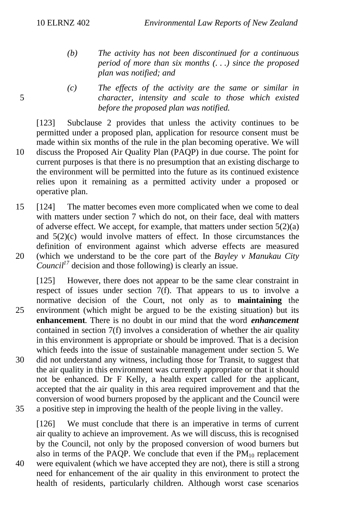- *(b) The activity has not been discontinued for a continuous period of more than six months (. . .) since the proposed plan was notified; and*
- *(c) The effects of the activity are the same or similar in* 5 *character, intensity and scale to those which existed before the proposed plan was notified.*

[123] Subclause 2 provides that unless the activity continues to be permitted under a proposed plan, application for resource consent must be made within six months of the rule in the plan becoming operative. We will 10 discuss the Proposed Air Quality Plan (PAQP) in due course. The point for current purposes is that there is no presumption that an existing discharge to the environment will be permitted into the future as its continued existence relies upon it remaining as a permitted activity under a proposed or operative plan.

15 [124] The matter becomes even more complicated when we come to deal with matters under section 7 which do not, on their face, deal with matters of adverse effect. We accept, for example, that matters under section  $5(2)(a)$ and 5(2)(c) would involve matters of effect. In those circumstances the definition of environment against which adverse effects are measured 20 (which we understand to be the core part of the *Bayley v Manukau City Council<sup>17</sup>* decision and those following) is clearly an issue.

[125] However, there does not appear to be the same clear constraint in respect of issues under section  $7(f)$ . That appears to us to involve a normative decision of the Court, not only as to **maintaining** the 25 environment (which might be argued to be the existing situation) but its **enhancement**. There is no doubt in our mind that the word *enhancement* contained in section 7(f) involves a consideration of whether the air quality in this environment is appropriate or should be improved. That is a decision which feeds into the issue of sustainable management under section 5. We 30 did not understand any witness, including those for Transit, to suggest that the air quality in this environment was currently appropriate or that it should not be enhanced. Dr F Kelly, a health expert called for the applicant, accepted that the air quality in this area required improvement and that the conversion of wood burners proposed by the applicant and the Council were 35 a positive step in improving the health of the people living in the valley.

[126] We must conclude that there is an imperative in terms of current air quality to achieve an improvement. As we will discuss, this is recognised by the Council, not only by the proposed conversion of wood burners but also in terms of the PAQP. We conclude that even if the  $PM_{10}$  replacement 40 were equivalent (which we have accepted they are not), there is still a strong need for enhancement of the air quality in this environment to protect the health of residents, particularly children. Although worst case scenarios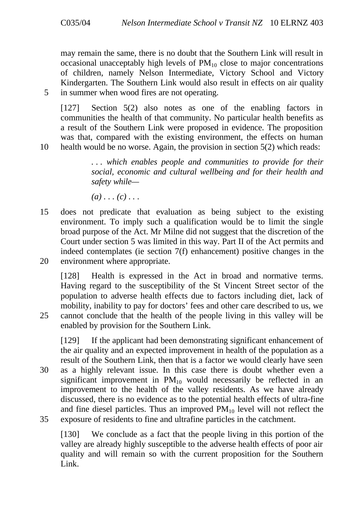may remain the same, there is no doubt that the Southern Link will result in occasional unacceptably high levels of  $PM_{10}$  close to major concentrations of children, namely Nelson Intermediate, Victory School and Victory Kindergarten. The Southern Link would also result in effects on air quality 5 in summer when wood fires are not operating.

[127] Section 5(2) also notes as one of the enabling factors in communities the health of that community. No particular health benefits as a result of the Southern Link were proposed in evidence. The proposition was that, compared with the existing environment, the effects on human 10 health would be no worse. Again, the provision in section 5(2) which reads:

> *. . . which enables people and communities to provide for their social, economic and cultural wellbeing and for their health and safety while—*

*(a) . . . (c) . . .*

15 does not predicate that evaluation as being subject to the existing environment. To imply such a qualification would be to limit the single broad purpose of the Act. Mr Milne did not suggest that the discretion of the Court under section 5 was limited in this way. Part II of the Act permits and indeed contemplates (ie section 7(f) enhancement) positive changes in the 20 environment where appropriate.

[128] Health is expressed in the Act in broad and normative terms. Having regard to the susceptibility of the St Vincent Street sector of the population to adverse health effects due to factors including diet, lack of mobility, inability to pay for doctors' fees and other care described to us, we 25 cannot conclude that the health of the people living in this valley will be enabled by provision for the Southern Link.

[129] If the applicant had been demonstrating significant enhancement of the air quality and an expected improvement in health of the population as a result of the Southern Link, then that is a factor we would clearly have seen

30 as a highly relevant issue. In this case there is doubt whether even a significant improvement in  $PM_{10}$  would necessarily be reflected in an improvement to the health of the valley residents. As we have already discussed, there is no evidence as to the potential health effects of ultra-fine and fine diesel particles. Thus an improved  $PM_{10}$  level will not reflect the 35 exposure of residents to fine and ultrafine particles in the catchment.

[130] We conclude as a fact that the people living in this portion of the valley are already highly susceptible to the adverse health effects of poor air quality and will remain so with the current proposition for the Southern Link.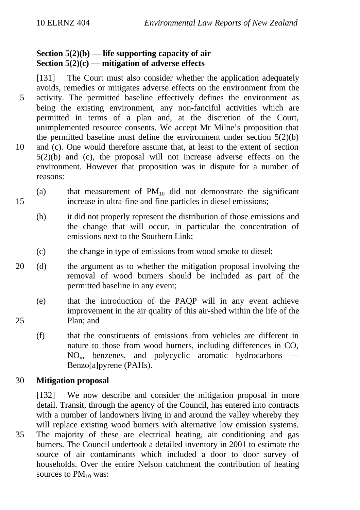## **Section 5(2)(b) — life supporting capacity of air Section 5(2)(c) — mitigation of adverse effects**

[131] The Court must also consider whether the application adequately avoids, remedies or mitigates adverse effects on the environment from the 5 activity. The permitted baseline effectively defines the environment as being the existing environment, any non-fanciful activities which are permitted in terms of a plan and, at the discretion of the Court, unimplemented resource consents. We accept Mr Milne's proposition that the permitted baseline must define the environment under section  $5(2)(b)$ 10 and (c). One would therefore assume that, at least to the extent of section 5(2)(b) and (c), the proposal will not increase adverse effects on the environment. However that proposition was in dispute for a number of reasons:

- (a) that measurement of  $PM_{10}$  did not demonstrate the significant 15 increase in ultra-fine and fine particles in diesel emissions;
	- (b) it did not properly represent the distribution of those emissions and the change that will occur, in particular the concentration of emissions next to the Southern Link;
	- (c) the change in type of emissions from wood smoke to diesel;
- 20 (d) the argument as to whether the mitigation proposal involving the removal of wood burners should be included as part of the permitted baseline in any event;
- (e) that the introduction of the PAQP will in any event achieve improvement in the air quality of this air-shed within the life of the 25 Plan; and
	- (f) that the constituents of emissions from vehicles are different in nature to those from wood burners, including differences in CO,  $NO<sub>x</sub>$ , benzenes, and polycyclic aromatic hydrocarbons — Benzo[a]pyrene (PAHs).

## 30 **Mitigation proposal**

[132] We now describe and consider the mitigation proposal in more detail. Transit, through the agency of the Council, has entered into contracts with a number of landowners living in and around the valley whereby they will replace existing wood burners with alternative low emission systems. 35 The majority of these are electrical heating, air conditioning and gas burners. The Council undertook a detailed inventory in 2001 to estimate the source of air contaminants which included a door to door survey of households. Over the entire Nelson catchment the contribution of heating sources to  $PM_{10}$  was: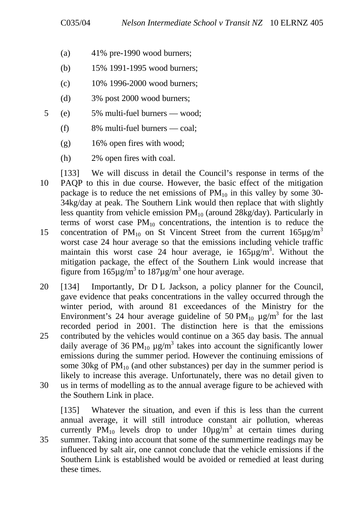- (a)  $41\%$  pre-1990 wood burners;
- (b) 15% 1991-1995 wood burners;
- (c) 10% 1996-2000 wood burners;
- (d) 3% post 2000 wood burners;
- 5 (e) 5% multi-fuel burners wood;
	- (f) 8% multi-fuel burners coal;
	- (g) 16% open fires with wood;
	- (h) 2% open fires with coal.

[133] We will discuss in detail the Council's response in terms of the 10 PAQP to this in due course. However, the basic effect of the mitigation package is to reduce the net emissions of  $PM_{10}$  in this valley by some 30-34kg/day at peak. The Southern Link would then replace that with slightly less quantity from vehicle emission  $PM_{10}$  (around  $28\text{kg/day}$ ). Particularly in terms of worst case  $PM_{10}$  concentrations, the intention is to reduce the concentration of  $PM_{10}$  on St Vincent Street from the current  $165\mu g/m^3$ 15 worst case 24 hour average so that the emissions including vehicle traffic maintain this worst case 24 hour average, ie  $165 \mu g/m^3$ . Without the mitigation package, the effect of the Southern Link would increase that

20 [134] Importantly, Dr D L Jackson, a policy planner for the Council, gave evidence that peaks concentrations in the valley occurred through the winter period, with around 81 exceedances of the Ministry for the Environment's 24 hour average guideline of 50 PM<sub>10</sub>  $\mu$ g/m<sup>3</sup> for the last recorded period in 2001. The distinction here is that the emissions 25 contributed by the vehicles would continue on a 365 day basis. The annual daily average of 36 PM<sub>10</sub>  $\mu$ g/m<sup>3</sup> takes into account the significantly lower

figure from  $165\mu$ g/m<sup>3</sup> to  $187\mu$ g/m<sup>3</sup> one hour average.

emissions during the summer period. However the continuing emissions of some 30kg of  $PM_{10}$  (and other substances) per day in the summer period is likely to increase this average. Unfortunately, there was no detail given to 30 us in terms of modelling as to the annual average figure to be achieved with the Southern Link in place.

[135] Whatever the situation, and even if this is less than the current annual average, it will still introduce constant air pollution, whereas currently PM<sub>10</sub> levels drop to under  $10\mu g/m^3$  at certain times during 35 summer. Taking into account that some of the summertime readings may be influenced by salt air, one cannot conclude that the vehicle emissions if the Southern Link is established would be avoided or remedied at least during these times.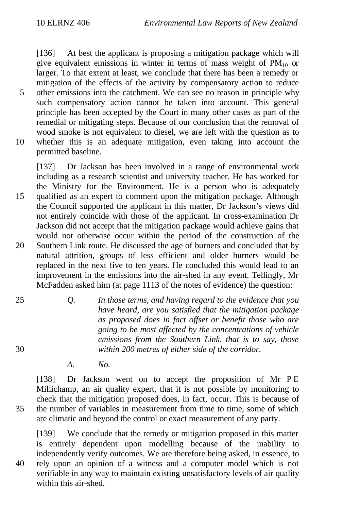[136] At best the applicant is proposing a mitigation package which will give equivalent emissions in winter in terms of mass weight of  $PM_{10}$  or larger. To that extent at least, we conclude that there has been a remedy or mitigation of the effects of the activity by compensatory action to reduce 5 other emissions into the catchment. We can see no reason in principle why such compensatory action cannot be taken into account. This general principle has been accepted by the Court in many other cases as part of the remedial or mitigating steps. Because of our conclusion that the removal of wood smoke is not equivalent to diesel, we are left with the question as to 10 whether this is an adequate mitigation, even taking into account the permitted baseline.

[137] Dr Jackson has been involved in a range of environmental work including as a research scientist and university teacher. He has worked for the Ministry for the Environment. He is a person who is adequately 15 qualified as an expert to comment upon the mitigation package. Although the Council supported the applicant in this matter, Dr Jackson's views did not entirely coincide with those of the applicant. In cross-examination Dr Jackson did not accept that the mitigation package would achieve gains that would not otherwise occur within the period of the construction of the 20 Southern Link route. He discussed the age of burners and concluded that by natural attrition, groups of less efficient and older burners would be replaced in the next five to ten years. He concluded this would lead to an improvement in the emissions into the air-shed in any event. Tellingly, Mr McFadden asked him (at page 1113 of the notes of evidence) the question:

- 25 *Q. In those terms, and having regard to the evidence that you have heard, are you satisfied that the mitigation package as proposed does in fact offset or benefit those who are going to be most affected by the concentrations of vehicle emissions from the Southern Link, that is to say, those* 30 *within 200 metres of either side of the corridor.*
	- *A. No.*

[138] Dr Jackson went on to accept the proposition of Mr P E Millichamp, an air quality expert, that it is not possible by monitoring to check that the mitigation proposed does, in fact, occur. This is because of 35 the number of variables in measurement from time to time, some of which are climatic and beyond the control or exact measurement of any party.

[139] We conclude that the remedy or mitigation proposed in this matter is entirely dependent upon modelling because of the inability to independently verify outcomes. We are therefore being asked, in essence, to 40 rely upon an opinion of a witness and a computer model which is not verifiable in any way to maintain existing unsatisfactory levels of air quality within this air-shed.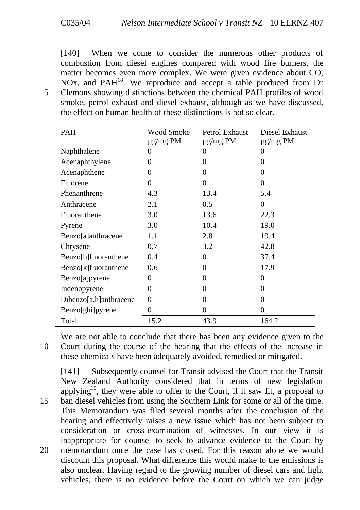[140] When we come to consider the numerous other products of combustion from diesel engines compared with wood fire burners, the matter becomes even more complex. We were given evidence about CO, NOx, and PAH<sup>18</sup>. We reproduce and accept a table produced from Dr 5 Clemons showing distinctions between the chemical PAH profiles of wood smoke, petrol exhaust and diesel exhaust, although as we have discussed, the effect on human health of these distinctions is not so clear.

| PAH                    | <b>Wood Smoke</b><br>ug/mg PM | Petrol Exhaust<br>µg/mg PM | Diesel Exhaust<br>µg/mg PM |
|------------------------|-------------------------------|----------------------------|----------------------------|
| Naphthalene            | 0                             | 0                          | 0                          |
| Acenaphthylene         | 0                             | $\Omega$                   | 0                          |
| Acenaphthene           | 0                             | $\theta$                   | 0                          |
| Fluorene               | 0                             | $\Omega$                   | 0                          |
| Phenanthrene           | 4.3                           | 13.4                       | 5.4                        |
| Anthracene             | 2.1                           | 0.5                        | $\Omega$                   |
| Fluoranthene           | 3.0                           | 13.6                       | 22.3                       |
| Pyrene                 | 3.0                           | 10.4                       | 19.0                       |
| Benzo[a]anthracene     | 1.1                           | 2.8                        | 19.4                       |
| Chrysene               | 0.7                           | 3.2                        | 42.8                       |
| Benzo[b]fluoranthene   | 0.4                           | $\Omega$                   | 37.4                       |
| Benzo[k]fluoranthene   | 0.6                           | $\Omega$                   | 17.9                       |
| Benzo[a]pyrene         | 0                             | $\theta$                   | $\Omega$                   |
| Indenopyrene           | 0                             | $\Omega$                   | 0                          |
| Dibenzo[a,h]anthracene | $\Omega$                      | $\theta$                   | 0                          |
| Benzo[ghi]pyrene       | 0                             | 0                          | 0                          |
| Total                  | 15.2                          | 43.9                       | 164.2                      |

We are not able to conclude that there has been any evidence given to the 10 Court during the course of the hearing that the effects of the increase in these chemicals have been adequately avoided, remedied or mitigated.

[141] Subsequently counsel for Transit advised the Court that the Transit New Zealand Authority considered that in terms of new legislation applying<sup>19</sup>, they were able to offer to the Court, if it saw fit, a proposal to 15 ban diesel vehicles from using the Southern Link for some or all of the time. This Memorandum was filed several months after the conclusion of the hearing and effectively raises a new issue which has not been subject to consideration or cross-examination of witnesses. In our view it is inappropriate for counsel to seek to advance evidence to the Court by 20 memorandum once the case has closed. For this reason alone we would discount this proposal. What difference this would make to the emissions is also unclear. Having regard to the growing number of diesel cars and light vehicles, there is no evidence before the Court on which we can judge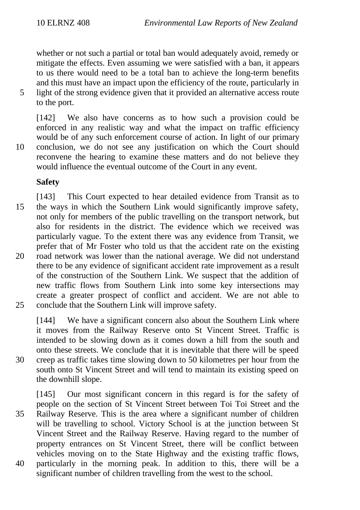whether or not such a partial or total ban would adequately avoid, remedy or mitigate the effects. Even assuming we were satisfied with a ban, it appears to us there would need to be a total ban to achieve the long-term benefits and this must have an impact upon the efficiency of the route, particularly in 5 light of the strong evidence given that it provided an alternative access route

to the port.

[142] We also have concerns as to how such a provision could be enforced in any realistic way and what the impact on traffic efficiency would be of any such enforcement course of action. In light of our primary 10 conclusion, we do not see any justification on which the Court should reconvene the hearing to examine these matters and do not believe they would influence the eventual outcome of the Court in any event.

## **Safety**

- [143] This Court expected to hear detailed evidence from Transit as to 15 the ways in which the Southern Link would significantly improve safety, not only for members of the public travelling on the transport network, but also for residents in the district. The evidence which we received was particularly vague. To the extent there was any evidence from Transit, we prefer that of Mr Foster who told us that the accident rate on the existing 20 road network was lower than the national average. We did not understand there to be any evidence of significant accident rate improvement as a result of the construction of the Southern Link. We suspect that the addition of new traffic flows from Southern Link into some key intersections may create a greater prospect of conflict and accident. We are not able to 25 conclude that the Southern Link will improve safety.
- 

[144] We have a significant concern also about the Southern Link where it moves from the Railway Reserve onto St Vincent Street. Traffic is intended to be slowing down as it comes down a hill from the south and onto these streets. We conclude that it is inevitable that there will be speed 30 creep as traffic takes time slowing down to 50 kilometres per hour from the south onto St Vincent Street and will tend to maintain its existing speed on the downhill slope.

[145] Our most significant concern in this regard is for the safety of people on the section of St Vincent Street between Toi Toi Street and the 35 Railway Reserve. This is the area where a significant number of children will be travelling to school. Victory School is at the junction between St Vincent Street and the Railway Reserve. Having regard to the number of property entrances on St Vincent Street, there will be conflict between vehicles moving on to the State Highway and the existing traffic flows, 40 particularly in the morning peak. In addition to this, there will be a significant number of children travelling from the west to the school.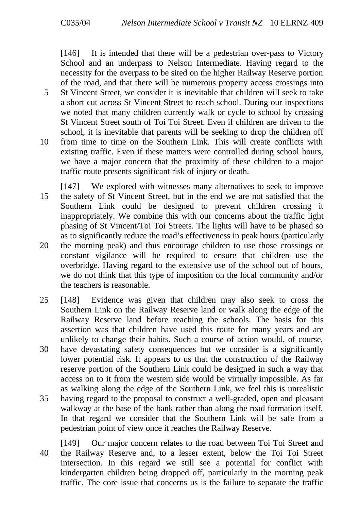[146] It is intended that there will be a pedestrian over-pass to Victory School and an underpass to Nelson Intermediate. Having regard to the necessity for the overpass to be sited on the higher Railway Reserve portion of the road, and that there will be numerous property access crossings into

- 5 St Vincent Street, we consider it is inevitable that children will seek to take a short cut across St Vincent Street to reach school. During our inspections we noted that many children currently walk or cycle to school by crossing St Vincent Street south of Toi Toi Street. Even if children are driven to the school, it is inevitable that parents will be seeking to drop the children off
- 10 from time to time on the Southern Link. This will create conflicts with existing traffic. Even if these matters were controlled during school hours, we have a major concern that the proximity of these children to a major traffic route presents significant risk of injury or death.

[147] We explored with witnesses many alternatives to seek to improve 15 the safety of St Vincent Street, but in the end we are not satisfied that the Southern Link could be designed to prevent children crossing it inappropriately. We combine this with our concerns about the traffic light phasing of St Vincent/Toi Toi Streets. The lights will have to be phased so as to significantly reduce the road's effectiveness in peak hours (particularly

- 20 the morning peak) and thus encourage children to use those crossings or constant vigilance will be required to ensure that children use the overbridge. Having regard to the extensive use of the school out of hours, we do not think that this type of imposition on the local community and/or the teachers is reasonable.
- 25 [148] Evidence was given that children may also seek to cross the Southern Link on the Railway Reserve land or walk along the edge of the Railway Reserve land before reaching the schools. The basis for this assertion was that children have used this route for many years and are unlikely to change their habits. Such a course of action would, of course, 30 have devastating safety consequences but we consider is a significantly
- lower potential risk. It appears to us that the construction of the Railway reserve portion of the Southern Link could be designed in such a way that access on to it from the western side would be virtually impossible. As far as walking along the edge of the Southern Link, we feel this is unrealistic
- 35 having regard to the proposal to construct a well-graded, open and pleasant walkway at the base of the bank rather than along the road formation itself. In that regard we consider that the Southern Link will be safe from a pedestrian point of view once it reaches the Railway Reserve.

[149] Our major concern relates to the road between Toi Toi Street and 40 the Railway Reserve and, to a lesser extent, below the Toi Toi Street intersection. In this regard we still see a potential for conflict with kindergarten children being dropped off, particularly in the morning peak traffic. The core issue that concerns us is the failure to separate the traffic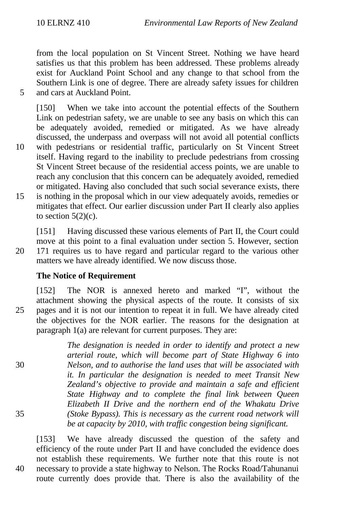from the local population on St Vincent Street. Nothing we have heard satisfies us that this problem has been addressed. These problems already exist for Auckland Point School and any change to that school from the Southern Link is one of degree. There are already safety issues for children 5 and cars at Auckland Point.

[150] When we take into account the potential effects of the Southern Link on pedestrian safety, we are unable to see any basis on which this can be adequately avoided, remedied or mitigated. As we have already discussed, the underpass and overpass will not avoid all potential conflicts

- 10 with pedestrians or residential traffic, particularly on St Vincent Street itself. Having regard to the inability to preclude pedestrians from crossing St Vincent Street because of the residential access points, we are unable to reach any conclusion that this concern can be adequately avoided, remedied or mitigated. Having also concluded that such social severance exists, there
- 15 is nothing in the proposal which in our view adequately avoids, remedies or mitigates that effect. Our earlier discussion under Part II clearly also applies to section  $5(2)(c)$ .

[151] Having discussed these various elements of Part II, the Court could move at this point to a final evaluation under section 5. However, section 20 171 requires us to have regard and particular regard to the various other matters we have already identified. We now discuss those.

#### **The Notice of Requirement**

[152] The NOR is annexed hereto and marked "I", without the attachment showing the physical aspects of the route. It consists of six 25 pages and it is not our intention to repeat it in full. We have already cited the objectives for the NOR earlier. The reasons for the designation at paragraph 1(a) are relevant for current purposes. They are:

*The designation is needed in order to identify and protect a new arterial route, which will become part of State Highway 6 into* 30 *Nelson, and to authorise the land uses that will be associated with it. In particular the designation is needed to meet Transit New Zealand's objective to provide and maintain a safe and efficient State Highway and to complete the final link between Queen Elizabeth II Drive and the northern end of the Whakatu Drive* 35 *(Stoke Bypass). This is necessary as the current road network will be at capacity by 2010, with traffic congestion being significant.*

[153] We have already discussed the question of the safety and efficiency of the route under Part II and have concluded the evidence does not establish these requirements. We further note that this route is not 40 necessary to provide a state highway to Nelson. The Rocks Road/Tahunanui route currently does provide that. There is also the availability of the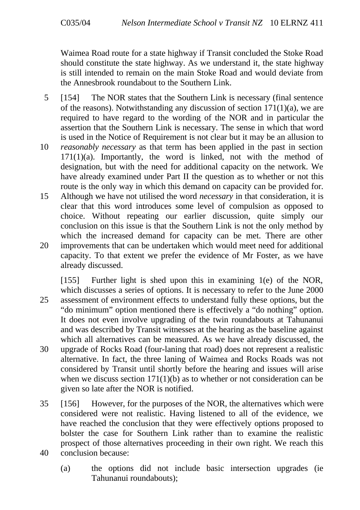Waimea Road route for a state highway if Transit concluded the Stoke Road should constitute the state highway. As we understand it, the state highway is still intended to remain on the main Stoke Road and would deviate from the Annesbrook roundabout to the Southern Link.

- 5 [154] The NOR states that the Southern Link is necessary (final sentence of the reasons). Notwithstanding any discussion of section  $171(1)(a)$ , we are required to have regard to the wording of the NOR and in particular the assertion that the Southern Link is necessary. The sense in which that word is used in the Notice of Requirement is not clear but it may be an allusion to
- 10 *reasonably necessary* as that term has been applied in the past in section  $171(1)(a)$ . Importantly, the word is linked, not with the method of designation, but with the need for additional capacity on the network. We have already examined under Part II the question as to whether or not this route is the only way in which this demand on capacity can be provided for.
- 15 Although we have not utilised the word *necessary* in that consideration, it is clear that this word introduces some level of compulsion as opposed to choice. Without repeating our earlier discussion, quite simply our conclusion on this issue is that the Southern Link is not the only method by which the increased demand for capacity can be met. There are other
- 20 improvements that can be undertaken which would meet need for additional capacity. To that extent we prefer the evidence of Mr Foster, as we have already discussed.
- [155] Further light is shed upon this in examining 1(e) of the NOR, which discusses a series of options. It is necessary to refer to the June 2000 25 assessment of environment effects to understand fully these options, but the "do minimum" option mentioned there is effectively a "do nothing" option. It does not even involve upgrading of the twin roundabouts at Tahunanui and was described by Transit witnesses at the hearing as the baseline against which all alternatives can be measured. As we have already discussed, the 30 upgrade of Rocks Road (four-laning that road) does not represent a realistic alternative. In fact, the three laning of Waimea and Rocks Roads was not considered by Transit until shortly before the hearing and issues will arise when we discuss section 171(1)(b) as to whether or not consideration can be
- 35 [156] However, for the purposes of the NOR, the alternatives which were considered were not realistic. Having listened to all of the evidence, we have reached the conclusion that they were effectively options proposed to bolster the case for Southern Link rather than to examine the realistic prospect of those alternatives proceeding in their own right. We reach this 40 conclusion because:

given so late after the NOR is notified.

(a) the options did not include basic intersection upgrades (ie Tahunanui roundabouts);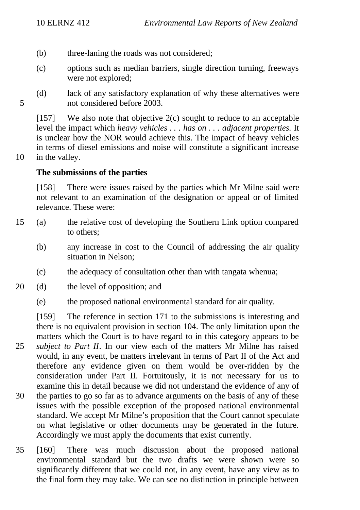- (b) three-laning the roads was not considered;
- (c) options such as median barriers, single direction turning, freeways were not explored;
- (d) lack of any satisfactory explanation of why these alternatives were 5 not considered before 2003.

 $[157]$  We also note that objective  $2(c)$  sought to reduce to an acceptable level the impact which *heavy vehicles . . . has on . . . adjacent properties*. It is unclear how the NOR would achieve this. The impact of heavy vehicles in terms of diesel emissions and noise will constitute a significant increase 10 in the valley.

#### **The submissions of the parties**

[158] There were issues raised by the parties which Mr Milne said were not relevant to an examination of the designation or appeal or of limited relevance. These were:

- 15 (a) the relative cost of developing the Southern Link option compared to others;
	- (b) any increase in cost to the Council of addressing the air quality situation in Nelson;
	- (c) the adequacy of consultation other than with tangata whenua;
- 20 (d) the level of opposition; and
	- (e) the proposed national environmental standard for air quality.

[159] The reference in section 171 to the submissions is interesting and there is no equivalent provision in section 104. The only limitation upon the matters which the Court is to have regard to in this category appears to be

- 25 *subject to Part II*. In our view each of the matters Mr Milne has raised would, in any event, be matters irrelevant in terms of Part II of the Act and therefore any evidence given on them would be over-ridden by the consideration under Part II. Fortuitously, it is not necessary for us to examine this in detail because we did not understand the evidence of any of 30 the parties to go so far as to advance arguments on the basis of any of these issues with the possible exception of the proposed national environmental standard. We accept Mr Milne's proposition that the Court cannot speculate on what legislative or other documents may be generated in the future. Accordingly we must apply the documents that exist currently.
- 35 [160] There was much discussion about the proposed national environmental standard but the two drafts we were shown were so significantly different that we could not, in any event, have any view as to the final form they may take. We can see no distinction in principle between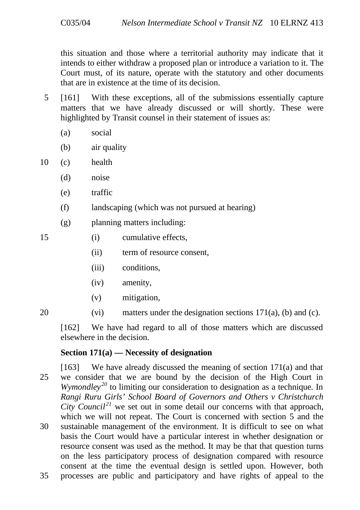this situation and those where a territorial authority may indicate that it intends to either withdraw a proposed plan or introduce a variation to it. The Court must, of its nature, operate with the statutory and other documents that are in existence at the time of its decision.

- 5 [161] With these exceptions, all of the submissions essentially capture matters that we have already discussed or will shortly. These were highlighted by Transit counsel in their statement of issues as:
	- (a) social
	- (b) air quality

10 (c) health

- (d) noise
- (e) traffic
- (f) landscaping (which was not pursued at hearing)
- (g) planning matters including:
- 15 (i) cumulative effects,
	- (ii) term of resource consent,
	- (iii) conditions,
	- (iv) amenity,
	- (v) mitigation,
- 20 (vi) matters under the designation sections  $171(a)$ , (b) and (c).

[162] We have had regard to all of those matters which are discussed elsewhere in the decision.

## **Section 171(a) — Necessity of designation**

[163] We have already discussed the meaning of section 171(a) and that 25 we consider that we are bound by the decision of the High Court in *Wymondley*<sup>20</sup> to limiting our consideration to designation as a technique. In *Rangi Ruru Girls' School Board of Governors and Others v Christchurch City Council*<sup>21</sup> we set out in some detail our concerns with that approach, which we will not repeat. The Court is concerned with section 5 and the 30 sustainable management of the environment. It is difficult to see on what basis the Court would have a particular interest in whether designation or resource consent was used as the method. It may be that that question turns on the less participatory process of designation compared with resource consent at the time the eventual design is settled upon. However, both 35 processes are public and participatory and have rights of appeal to the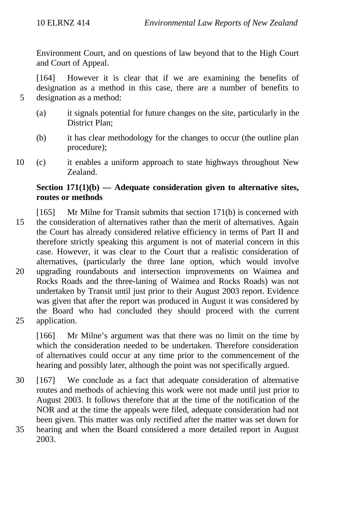Environment Court, and on questions of law beyond that to the High Court and Court of Appeal.

[164] However it is clear that if we are examining the benefits of designation as a method in this case, there are a number of benefits to 5 designation as a method:

- (a) it signals potential for future changes on the site, particularly in the District Plan<sup>.</sup>
- (b) it has clear methodology for the changes to occur (the outline plan procedure);
- 10 (c) it enables a uniform approach to state highways throughout New Zealand.

## **Section 171(1)(b) — Adequate consideration given to alternative sites, routes or methods**

- [165] Mr Milne for Transit submits that section 171(b) is concerned with 15 the consideration of alternatives rather than the merit of alternatives. Again the Court has already considered relative efficiency in terms of Part II and therefore strictly speaking this argument is not of material concern in this case. However, it was clear to the Court that a realistic consideration of alternatives, (particularly the three lane option, which would involve 20 upgrading roundabouts and intersection improvements on Waimea and Rocks Roads and the three-laning of Waimea and Rocks Roads) was not undertaken by Transit until just prior to their August 2003 report. Evidence was given that after the report was produced in August it was considered by the Board who had concluded they should proceed with the current
- 25 application.

[166] Mr Milne's argument was that there was no limit on the time by which the consideration needed to be undertaken. Therefore consideration of alternatives could occur at any time prior to the commencement of the hearing and possibly later, although the point was not specifically argued.

30 [167] We conclude as a fact that adequate consideration of alternative routes and methods of achieving this work were not made until just prior to August 2003. It follows therefore that at the time of the notification of the NOR and at the time the appeals were filed, adequate consideration had not been given. This matter was only rectified after the matter was set down for 35 hearing and when the Board considered a more detailed report in August 2003.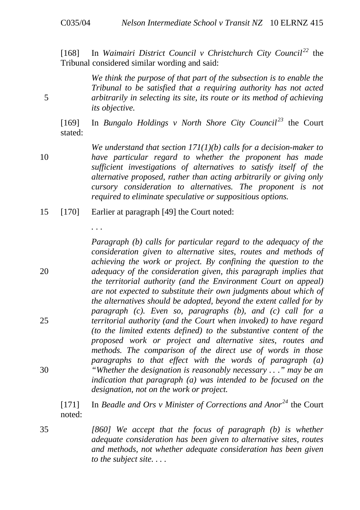[168] In Waimairi District Council v Christchurch City Council<sup>22</sup> the Tribunal considered similar wording and said:

*We think the purpose of that part of the subsection is to enable the Tribunal to be satisfied that a requiring authority has not acted* 5 *arbitrarily in selecting its site, its route or its method of achieving its objective.*

[169] In *Bungalo Holdings v North Shore City Council*<sup>23</sup> the Court stated:

*We understand that section 171(1)(b) calls for a decision-maker to* 10 *have particular regard to whether the proponent has made sufficient investigations of alternatives to satisfy itself of the alternative proposed, rather than acting arbitrarily or giving only cursory consideration to alternatives. The proponent is not required to eliminate speculative or suppositious options.*

15 [170] Earlier at paragraph [49] the Court noted:

*. . .*

*Paragraph (b) calls for particular regard to the adequacy of the consideration given to alternative sites, routes and methods of achieving the work or project. By confining the question to the* 20 *adequacy of the consideration given, this paragraph implies that the territorial authority (and the Environment Court on appeal) are not expected to substitute their own judgments about which of the alternatives should be adopted, beyond the extent called for by paragraph (c). Even so, paragraphs (b), and (c) call for a* 25 *territorial authority (and the Court when invoked) to have regard (to the limited extents defined) to the substantive content of the proposed work or project and alternative sites, routes and methods. The comparison of the direct use of words in those paragraphs to that effect with the words of paragraph (a)* 30 *"Whether the designation is reasonably necessary . . ." may be an indication that paragraph (a) was intended to be focused on the designation, not on the work or project.*

[171] In *Beadle and Ors v Minister of Corrections and Anor <sup>24</sup>* the Court noted:

35 *[860] We accept that the focus of paragraph (b) is whether adequate consideration has been given to alternative sites, routes and methods, not whether adequate consideration has been given to the subject site. . . .*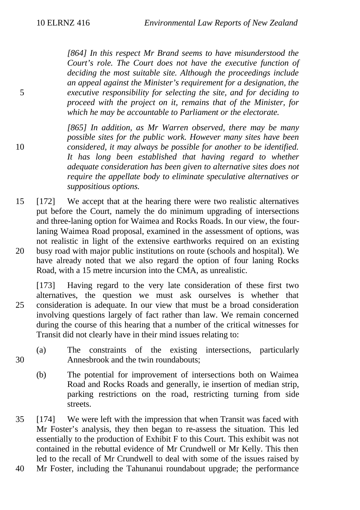*[864] In this respect Mr Brand seems to have misunderstood the Court's role. The Court does not have the executive function of deciding the most suitable site. Although the proceedings include an appeal against the Minister's requirement for a designation, the* 5 *executive responsibility for selecting the site, and for deciding to proceed with the project on it, remains that of the Minister, for which he may be accountable to Parliament or the electorate.*

*[865] In addition, as Mr Warren observed, there may be many possible sites for the public work. However many sites have been* 10 *considered, it may always be possible for another to be identified. It has long been established that having regard to whether adequate consideration has been given to alternative sites does not require the appellate body to eliminate speculative alternatives or suppositious options.*

15 [172] We accept that at the hearing there were two realistic alternatives put before the Court, namely the do minimum upgrading of intersections and three-laning option for Waimea and Rocks Roads. In our view, the fourlaning Waimea Road proposal, examined in the assessment of options, was not realistic in light of the extensive earthworks required on an existing 20 busy road with major public institutions on route (schools and hospital). We have already noted that we also regard the option of four laning Rocks Road, with a 15 metre incursion into the CMA, as unrealistic.

[173] Having regard to the very late consideration of these first two alternatives, the question we must ask ourselves is whether that 25 consideration is adequate. In our view that must be a broad consideration involving questions largely of fact rather than law. We remain concerned during the course of this hearing that a number of the critical witnesses for Transit did not clearly have in their mind issues relating to:

- (a) The constraints of the existing intersections, particularly 30 Annesbrook and the twin roundabouts;
	- (b) The potential for improvement of intersections both on Waimea Road and Rocks Roads and generally, ie insertion of median strip, parking restrictions on the road, restricting turning from side streets.

35 [174] We were left with the impression that when Transit was faced with Mr Foster's analysis, they then began to re-assess the situation. This led essentially to the production of Exhibit F to this Court. This exhibit was not contained in the rebuttal evidence of Mr Crundwell or Mr Kelly. This then led to the recall of Mr Crundwell to deal with some of the issues raised by

40 Mr Foster, including the Tahunanui roundabout upgrade; the performance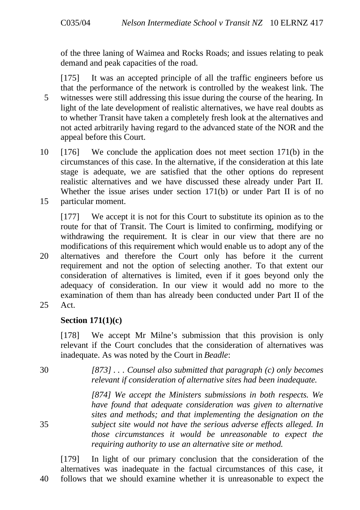of the three laning of Waimea and Rocks Roads; and issues relating to peak demand and peak capacities of the road.

[175] It was an accepted principle of all the traffic engineers before us that the performance of the network is controlled by the weakest link. The 5 witnesses were still addressing this issue during the course of the hearing. In light of the late development of realistic alternatives, we have real doubts as to whether Transit have taken a completely fresh look at the alternatives and not acted arbitrarily having regard to the advanced state of the NOR and the appeal before this Court.

10 [176] We conclude the application does not meet section 171(b) in the circumstances of this case. In the alternative, if the consideration at this late stage is adequate, we are satisfied that the other options do represent realistic alternatives and we have discussed these already under Part II. Whether the issue arises under section 171(b) or under Part II is of no 15 particular moment.

[177] We accept it is not for this Court to substitute its opinion as to the route for that of Transit. The Court is limited to confirming, modifying or withdrawing the requirement. It is clear in our view that there are no modifications of this requirement which would enable us to adopt any of the 20 alternatives and therefore the Court only has before it the current requirement and not the option of selecting another. To that extent our consideration of alternatives is limited, even if it goes beyond only the adequacy of consideration. In our view it would add no more to the examination of them than has already been conducted under Part II of the 25 Act.

#### **Section 171(1)(c)**

[178] We accept Mr Milne's submission that this provision is only relevant if the Court concludes that the consideration of alternatives was inadequate. As was noted by the Court in *Beadle*:

30 *[873] . . . Counsel also submitted that paragraph (c) only becomes relevant if consideration of alternative sites had been inadequate.*

*[874] We accept the Ministers submissions in both respects. We have found that adequate consideration was given to alternative sites and methods; and that implementing the designation on the* 35 *subject site would not have the serious adverse effects alleged. In those circumstances it would be unreasonable to expect the requiring authority to use an alternative site or method.*

[179] In light of our primary conclusion that the consideration of the alternatives was inadequate in the factual circumstances of this case, it 40 follows that we should examine whether it is unreasonable to expect the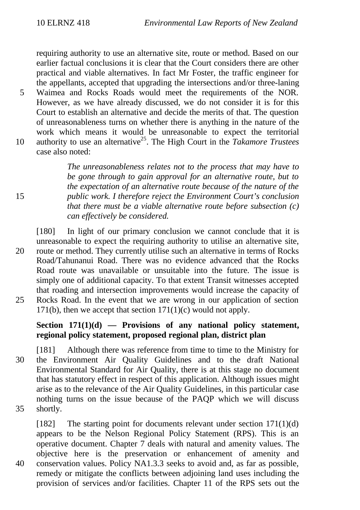requiring authority to use an alternative site, route or method. Based on our earlier factual conclusions it is clear that the Court considers there are other practical and viable alternatives. In fact Mr Foster, the traffic engineer for the appellants, accepted that upgrading the intersections and/or three-laning

5 Waimea and Rocks Roads would meet the requirements of the NOR. However, as we have already discussed, we do not consider it is for this Court to establish an alternative and decide the merits of that. The question of unreasonableness turns on whether there is anything in the nature of the work which means it would be unreasonable to expect the territorial 10 authority to use an alternative<sup>25</sup>. The High Court in the *Takamore Trustees* case also noted:

*The unreasonableness relates not to the process that may have to be gone through to gain approval for an alternative route, but to the expectation of an alternative route because of the nature of the* 15 *public work. I therefore reject the Environment Court's conclusion that there must be a viable alternative route before subsection (c) can effectively be considered.*

[180] In light of our primary conclusion we cannot conclude that it is unreasonable to expect the requiring authority to utilise an alternative site, 20 route or method. They currently utilise such an alternative in terms of Rocks Road/Tahunanui Road. There was no evidence advanced that the Rocks Road route was unavailable or unsuitable into the future. The issue is simply one of additional capacity. To that extent Transit witnesses accepted that roading and intersection improvements would increase the capacity of 25 Rocks Road. In the event that we are wrong in our application of section 171(b), then we accept that section  $171(1)(c)$  would not apply.

## **Section 171(1)(d) — Provisions of any national policy statement, regional policy statement, proposed regional plan, district plan**

- [181] Although there was reference from time to time to the Ministry for 30 the Environment Air Quality Guidelines and to the draft National Environmental Standard for Air Quality, there is at this stage no document that has statutory effect in respect of this application. Although issues might arise as to the relevance of the Air Quality Guidelines, in this particular case nothing turns on the issue because of the PAQP which we will discuss 35 shortly.
- 

[182] The starting point for documents relevant under section  $171(1)(d)$ appears to be the Nelson Regional Policy Statement (RPS). This is an operative document. Chapter 7 deals with natural and amenity values. The objective here is the preservation or enhancement of amenity and 40 conservation values. Policy NA1.3.3 seeks to avoid and, as far as possible, remedy or mitigate the conflicts between adjoining land uses including the provision of services and/or facilities. Chapter 11 of the RPS sets out the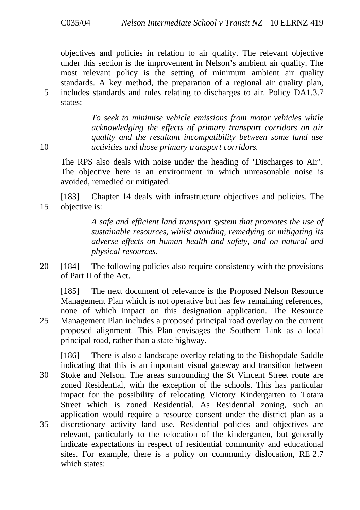objectives and policies in relation to air quality. The relevant objective under this section is the improvement in Nelson's ambient air quality. The most relevant policy is the setting of minimum ambient air quality standards. A key method, the preparation of a regional air quality plan, 5 includes standards and rules relating to discharges to air. Policy DA1.3.7 states:

*To seek to minimise vehicle emissions from motor vehicles while acknowledging the effects of primary transport corridors on air quality and the resultant incompatibility between some land use* 10 *activities and those primary transport corridors.*

The RPS also deals with noise under the heading of 'Discharges to Air'. The objective here is an environment in which unreasonable noise is avoided, remedied or mitigated.

[183] Chapter 14 deals with infrastructure objectives and policies. The 15 objective is:

> *A safe and efficient land transport system that promotes the use of sustainable resources, whilst avoiding, remedying or mitigating its adverse effects on human health and safety, and on natural and physical resources.*

20 [184] The following policies also require consistency with the provisions of Part II of the Act.

[185] The next document of relevance is the Proposed Nelson Resource Management Plan which is not operative but has few remaining references, none of which impact on this designation application. The Resource 25 Management Plan includes a proposed principal road overlay on the current proposed alignment. This Plan envisages the Southern Link as a local principal road, rather than a state highway.

[186] There is also a landscape overlay relating to the Bishopdale Saddle indicating that this is an important visual gateway and transition between 30 Stoke and Nelson. The areas surrounding the St Vincent Street route are zoned Residential, with the exception of the schools. This has particular impact for the possibility of relocating Victory Kindergarten to Totara Street which is zoned Residential. As Residential zoning, such an application would require a resource consent under the district plan as a 35 discretionary activity land use. Residential policies and objectives are relevant, particularly to the relocation of the kindergarten, but generally indicate expectations in respect of residential community and educational sites. For example, there is a policy on community dislocation, RE 2.7 which states: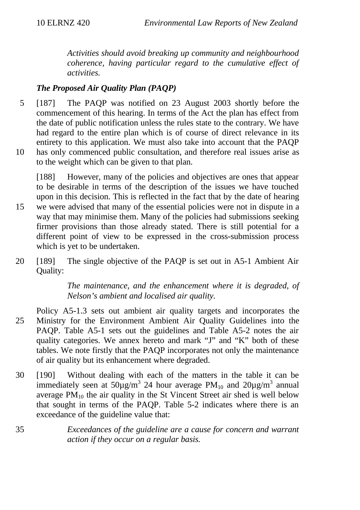*Activities should avoid breaking up community and neighbourhood coherence, having particular regard to the cumulative effect of activities.*

# *The Proposed Air Quality Plan (PAQP)*

- 5 [187] The PAQP was notified on 23 August 2003 shortly before the commencement of this hearing. In terms of the Act the plan has effect from the date of public notification unless the rules state to the contrary. We have had regard to the entire plan which is of course of direct relevance in its entirety to this application. We must also take into account that the PAQP 10 has only commenced public consultation, and therefore real issues arise as
- to the weight which can be given to that plan.

[188] However, many of the policies and objectives are ones that appear to be desirable in terms of the description of the issues we have touched upon in this decision. This is reflected in the fact that by the date of hearing 15 we were advised that many of the essential policies were not in dispute in a way that may minimise them. Many of the policies had submissions seeking firmer provisions than those already stated. There is still potential for a different point of view to be expressed in the cross-submission process which is yet to be undertaken.

20 [189] The single objective of the PAQP is set out in A5-1 Ambient Air Quality:

> *The maintenance, and the enhancement where it is degraded, of Nelson's ambient and localised air quality.*

- Policy A5-1.3 sets out ambient air quality targets and incorporates the 25 Ministry for the Environment Ambient Air Quality Guidelines into the PAQP. Table A5-1 sets out the guidelines and Table A5-2 notes the air quality categories. We annex hereto and mark "J" and "K" both of these tables. We note firstly that the PAQP incorporates not only the maintenance of air quality but its enhancement where degraded.
- 30 [190] Without dealing with each of the matters in the table it can be immediately seen at  $50\mu\text{g/m}^3$  24 hour average PM<sub>10</sub> and  $20\mu\text{g/m}^3$  annual average  $PM_{10}$  the air quality in the St Vincent Street air shed is well below that sought in terms of the PAQP. Table 5-2 indicates where there is an exceedance of the guideline value that:
- 35 *Exceedances of the guideline are a cause for concern and warrant action if they occur on a regular basis.*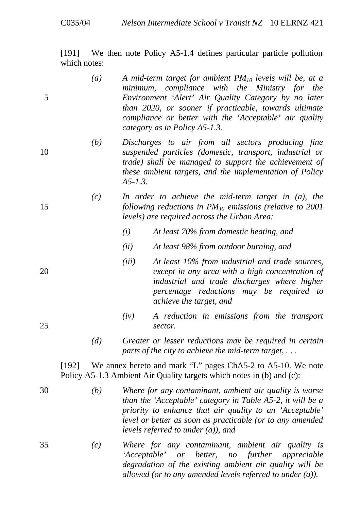[191] We then note Policy A5-1.4 defines particular particle pollution which notes:

- *(a) A mid-term target for ambient PM10 levels will be, at a minimum, compliance with the Ministry for the* 5 *Environment 'Alert' Air Quality Category by no later than 2020, or sooner if practicable, towards ultimate compliance or better with the 'Acceptable' air quality category as in Policy A5-1.3.*
- *(b) Discharges to air from all sectors producing fine* 10 *suspended particles (domestic, transport, industrial or trade) shall be managed to support the achievement of these ambient targets, and the implementation of Policy A5-1.3.*
- *(c) In order to achieve the mid-term target in (a), the* 15 *following reductions in PM10 emissions (relative to 2001 levels) are required across the Urban Area:*
	- *(i) At least 70% from domestic heating, and*
	- *(ii) At least 98% from outdoor burning, and*
- *(iii) At least 10% from industrial and trade sources,* 20 *except in any area with a high concentration of industrial and trade discharges where higher percentage reductions may be required to achieve the target, and*
- *(iv) A reduction in emissions from the transport* 25 *sector.*
	- *(d) Greater or lesser reductions may be required in certain parts of the city to achieve the mid-term target, . . .*

[192] We annex hereto and mark "L" pages ChA5-2 to A5-10. We note Policy A5-1.3 Ambient Air Quality targets which notes in (b) and (c):

- 30 *(b) Where for any contaminant, ambient air quality is worse than the 'Acceptable' category in Table A5-2, it will be a priority to enhance that air quality to an 'Acceptable' level or better as soon as practicable (or to any amended levels referred to under (a)), and*
- 35 *(c) Where for any contaminant, ambient air quality is 'Acceptable' or better, no further appreciable degradation of the existing ambient air quality will be allowed (or to any amended levels referred to under (a)).*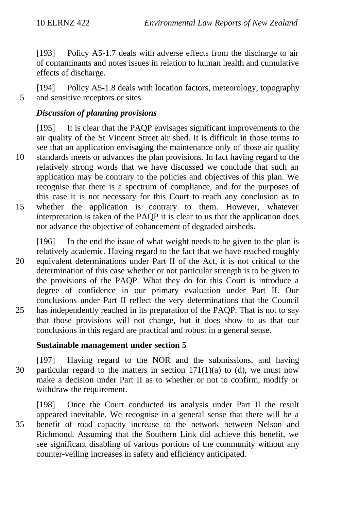[193] Policy A5-1.7 deals with adverse effects from the discharge to air of contaminants and notes issues in relation to human health and cumulative effects of discharge.

[194] Policy A5-1.8 deals with location factors, meteorology, topography 5 and sensitive receptors or sites.

# *Discussion of planning provisions*

[195] It is clear that the PAQP envisages significant improvements to the air quality of the St Vincent Street air shed. It is difficult in those terms to see that an application envisaging the maintenance only of those air quality 10 standards meets or advances the plan provisions. In fact having regard to the relatively strong words that we have discussed we conclude that such an application may be contrary to the policies and objectives of this plan. We recognise that there is a spectrum of compliance, and for the purposes of this case it is not necessary for this Court to reach any conclusion as to 15 whether the application is contrary to them. However, whatever interpretation is taken of the PAQP it is clear to us that the application does not advance the objective of enhancement of degraded airsheds.

[196] In the end the issue of what weight needs to be given to the plan is relatively academic. Having regard to the fact that we have reached roughly 20 equivalent determinations under Part II of the Act, it is not critical to the determination of this case whether or not particular strength is to be given to the provisions of the PAQP. What they do for this Court is introduce a degree of confidence in our primary evaluation under Part II. Our conclusions under Part II reflect the very determinations that the Council 25 has independently reached in its preparation of the PAQP. That is not to say that those provisions will not change, but it does show to us that our conclusions in this regard are practical and robust in a general sense.

## **Sustainable management under section 5**

[197] Having regard to the NOR and the submissions, and having 30 particular regard to the matters in section  $171(1)(a)$  to (d), we must now make a decision under Part II as to whether or not to confirm, modify or withdraw the requirement.

[198] Once the Court conducted its analysis under Part II the result appeared inevitable. We recognise in a general sense that there will be a 35 benefit of road capacity increase to the network between Nelson and Richmond. Assuming that the Southern Link did achieve this benefit, we see significant disabling of various portions of the community without any counter-veiling increases in safety and efficiency anticipated.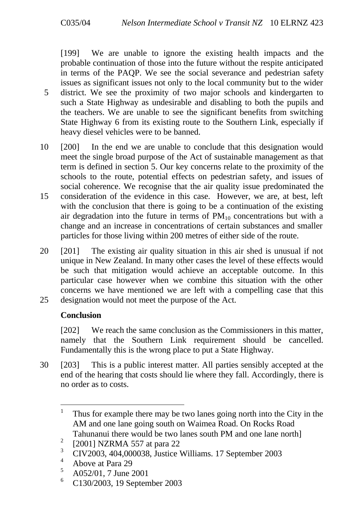[199] We are unable to ignore the existing health impacts and the probable continuation of those into the future without the respite anticipated in terms of the PAQP. We see the social severance and pedestrian safety issues as significant issues not only to the local community but to the wider 5 district. We see the proximity of two major schools and kindergarten to such a State Highway as undesirable and disabling to both the pupils and the teachers. We are unable to see the significant benefits from switching State Highway 6 from its existing route to the Southern Link, especially if heavy diesel vehicles were to be banned.

- 10 [200] In the end we are unable to conclude that this designation would meet the single broad purpose of the Act of sustainable management as that term is defined in section 5. Our key concerns relate to the proximity of the schools to the route, potential effects on pedestrian safety, and issues of social coherence. We recognise that the air quality issue predominated the
- 15 consideration of the evidence in this case. However, we are, at best, left with the conclusion that there is going to be a continuation of the existing air degradation into the future in terms of  $PM_{10}$  concentrations but with a change and an increase in concentrations of certain substances and smaller particles for those living within 200 metres of either side of the route.
- 20 [201] The existing air quality situation in this air shed is unusual if not unique in New Zealand. In many other cases the level of these effects would be such that mitigation would achieve an acceptable outcome. In this particular case however when we combine this situation with the other concerns we have mentioned we are left with a compelling case that this 25 designation would not meet the purpose of the Act.

## **Conclusion**

[202] We reach the same conclusion as the Commissioners in this matter, namely that the Southern Link requirement should be cancelled. Fundamentally this is the wrong place to put a State Highway.

30 [203] This is a public interest matter. All parties sensibly accepted at the end of the hearing that costs should lie where they fall. Accordingly, there is no order as to costs.

 $\mathbf{1}$ <sup>1</sup> Thus for example there may be two lanes going north into the City in the AM and one lane going south on Waimea Road. On Rocks Road Tahunanui there would be two lanes south PM and one lane north]

<sup>2</sup> [2001] NZRMA 557 at para 22

 $\frac{3}{4}$  CIV2003, 404,000038, Justice Williams. 17 September 2003

 $^{4}$  Above at Para 29

 $^{5}$  A052/01, 7 June 2001

<sup>6</sup> C130/2003, 19 September 2003